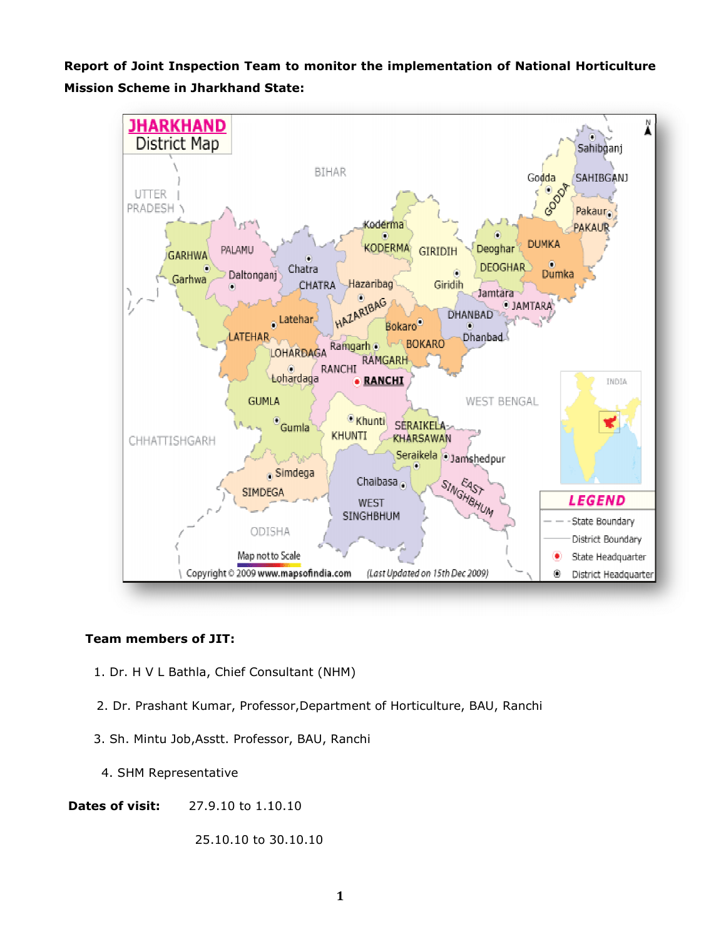Report of Joint Inspection Team to monitor the implementation of National Horticulture Mission Scheme in Jharkhand State State:



## Team members of JIT:

- 1. Dr. H V L Bathla, Chief Consultant (NHM)
- 1. Dr. H V L Bathla, Chief Consultant (NHM)<br>2. Dr. Prashant Kumar, Professor,Department of Horticulture, BAU, Ranchi
- 3. Sh. Mintu Job,Asstt. Professor, BAU, Ranchi 3. Sh. Ranchi
	- 4. SHM Representative
- **Dates of visit:** 27.9.10 to 1.10.10

25.10.10 to 30.10.10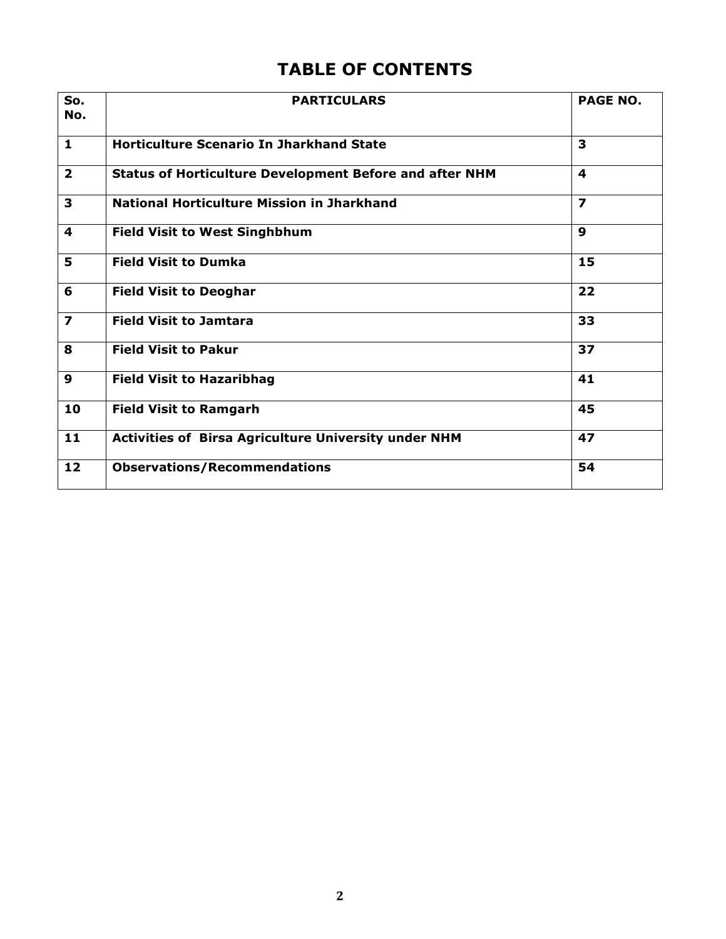# TABLE OF CONTENTS

| So.<br>No.              | <b>PARTICULARS</b>                                             | <b>PAGE NO.</b>         |
|-------------------------|----------------------------------------------------------------|-------------------------|
| $\mathbf{1}$            | <b>Horticulture Scenario In Jharkhand State</b>                | 3                       |
| $\overline{2}$          | <b>Status of Horticulture Development Before and after NHM</b> | 4                       |
| 3                       | <b>National Horticulture Mission in Jharkhand</b>              | $\overline{\mathbf{z}}$ |
| 4                       | <b>Field Visit to West Singhbhum</b>                           | $\mathbf{9}$            |
| 5                       | <b>Field Visit to Dumka</b>                                    | 15                      |
| 6                       | <b>Field Visit to Deoghar</b>                                  | 22                      |
| $\overline{\mathbf{z}}$ | <b>Field Visit to Jamtara</b>                                  | 33                      |
| 8                       | <b>Field Visit to Pakur</b>                                    | 37                      |
| 9                       | <b>Field Visit to Hazaribhag</b>                               | 41                      |
| 10                      | <b>Field Visit to Ramgarh</b>                                  | 45                      |
| 11                      | <b>Activities of Birsa Agriculture University under NHM</b>    | 47                      |
| 12                      | <b>Observations/Recommendations</b>                            | 54                      |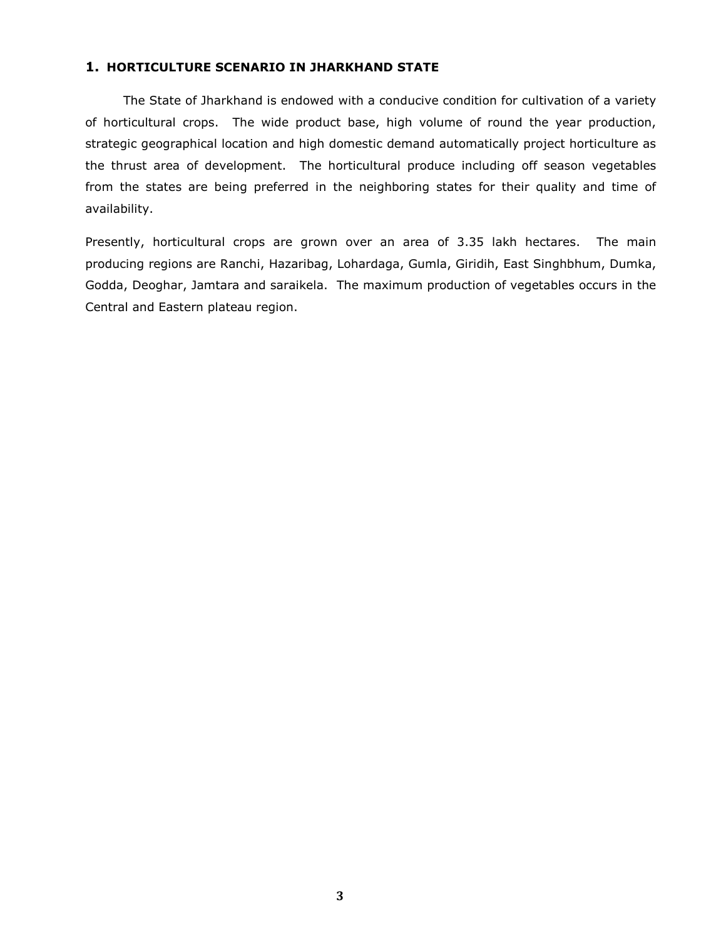# 1. HORTICULTURE SCENARIO IN JHARKHAND STATE

 The State of Jharkhand is endowed with a conducive condition for cultivation of a variety of horticultural crops. The wide product base, high volume of round the year production, strategic geographical location and high domestic demand automatically project horticulture as the thrust area of development. The horticultural produce including off season vegetables from the states are being preferred in the neighboring states for their quality and time of availability.

Presently, horticultural crops are grown over an area of 3.35 lakh hectares. The main producing regions are Ranchi, Hazaribag, Lohardaga, Gumla, Giridih, East Singhbhum, Dumka, Godda, Deoghar, Jamtara and saraikela. The maximum production of vegetables occurs in the Central and Eastern plateau region.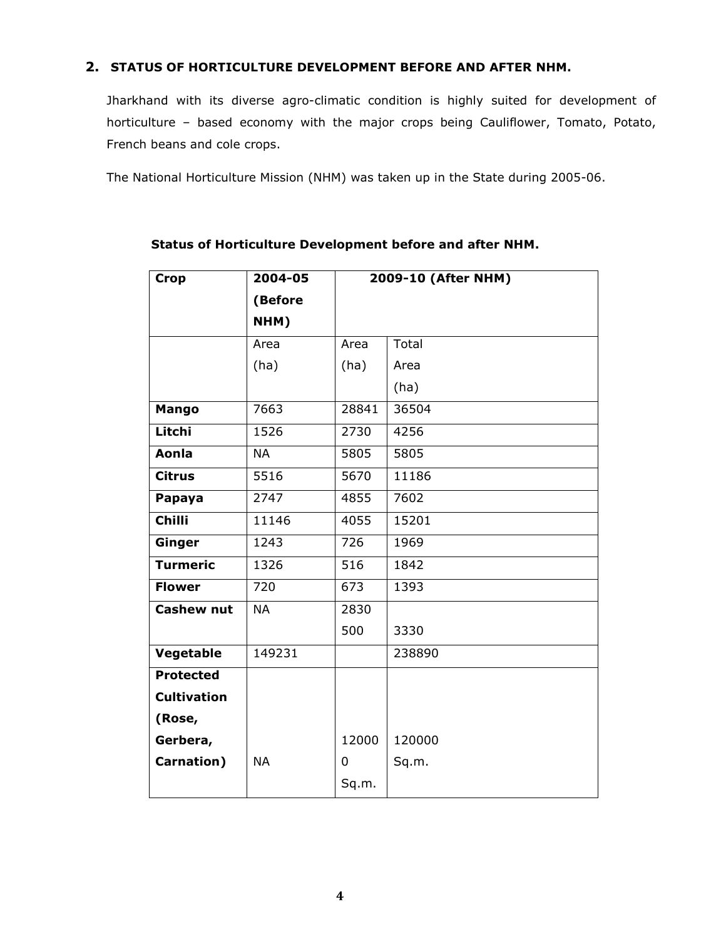# 2. STATUS OF HORTICULTURE DEVELOPMENT BEFORE AND AFTER NHM.

Jharkhand with its diverse agro-climatic condition is highly suited for development of horticulture – based economy with the major crops being Cauliflower, Tomato, Potato, French beans and cole crops.

The National Horticulture Mission (NHM) was taken up in the State during 2005-06.

| <b>Crop</b>        | 2004-05   | 2009-10 (After NHM) |        |
|--------------------|-----------|---------------------|--------|
|                    | (Before   |                     |        |
|                    | NHM)      |                     |        |
|                    | Area      | Area                | Total  |
|                    | (ha)      | (ha)                | Area   |
|                    |           |                     | (ha)   |
| Mango              | 7663      | 28841               | 36504  |
| Litchi             | 1526      | 2730                | 4256   |
| Aonla              | <b>NA</b> | 5805                | 5805   |
| <b>Citrus</b>      | 5516      | 5670                | 11186  |
| Papaya             | 2747      | 4855                | 7602   |
| <b>Chilli</b>      | 11146     | 4055                | 15201  |
| Ginger             | 1243      | 726                 | 1969   |
| <b>Turmeric</b>    | 1326      | $\overline{516}$    | 1842   |
| <b>Flower</b>      | 720       | 673                 | 1393   |
| <b>Cashew nut</b>  | <b>NA</b> | 2830                |        |
|                    |           | 500                 | 3330   |
| Vegetable          | 149231    |                     | 238890 |
| <b>Protected</b>   |           |                     |        |
| <b>Cultivation</b> |           |                     |        |
| (Rose,             |           |                     |        |
| Gerbera,           |           | 12000               | 120000 |
| Carnation)         | <b>NA</b> | 0                   | Sq.m.  |
|                    |           | Sq.m.               |        |

# Status of Horticulture Development before and after NHM.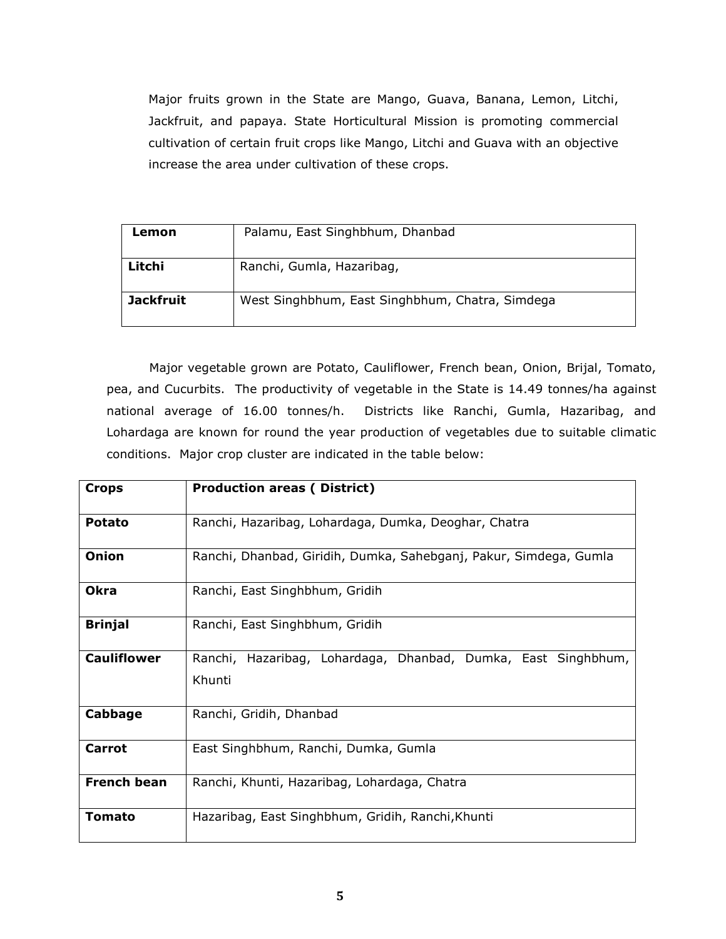Major fruits grown in the State are Mango, Guava, Banana, Lemon, Litchi, Jackfruit, and papaya. State Horticultural Mission is promoting commercial cultivation of certain fruit crops like Mango, Litchi and Guava with an objective increase the area under cultivation of these crops.

| Lemon            | Palamu, East Singhbhum, Dhanbad                 |
|------------------|-------------------------------------------------|
| Litchi           | Ranchi, Gumla, Hazaribag,                       |
| <b>Jackfruit</b> | West Singhbhum, East Singhbhum, Chatra, Simdega |

Major vegetable grown are Potato, Cauliflower, French bean, Onion, Brijal, Tomato, pea, and Cucurbits. The productivity of vegetable in the State is 14.49 tonnes/ha against national average of 16.00 tonnes/h. Districts like Ranchi, Gumla, Hazaribag, and Lohardaga are known for round the year production of vegetables due to suitable climatic conditions. Major crop cluster are indicated in the table below:

| <b>Crops</b>       | <b>Production areas (District)</b>                                |  |  |  |
|--------------------|-------------------------------------------------------------------|--|--|--|
|                    |                                                                   |  |  |  |
| Potato             | Ranchi, Hazaribag, Lohardaga, Dumka, Deoghar, Chatra              |  |  |  |
| Onion              | Ranchi, Dhanbad, Giridih, Dumka, Sahebganj, Pakur, Simdega, Gumla |  |  |  |
| <b>Okra</b>        | Ranchi, East Singhbhum, Gridih                                    |  |  |  |
| <b>Brinjal</b>     | Ranchi, East Singhbhum, Gridih                                    |  |  |  |
| <b>Cauliflower</b> | Ranchi, Hazaribag, Lohardaga, Dhanbad, Dumka, East Singhbhum,     |  |  |  |
|                    | Khunti                                                            |  |  |  |
| Cabbage            | Ranchi, Gridih, Dhanbad                                           |  |  |  |
| Carrot             | East Singhbhum, Ranchi, Dumka, Gumla                              |  |  |  |
| <b>French bean</b> | Ranchi, Khunti, Hazaribag, Lohardaga, Chatra                      |  |  |  |
| <b>Tomato</b>      | Hazaribag, East Singhbhum, Gridih, Ranchi, Khunti                 |  |  |  |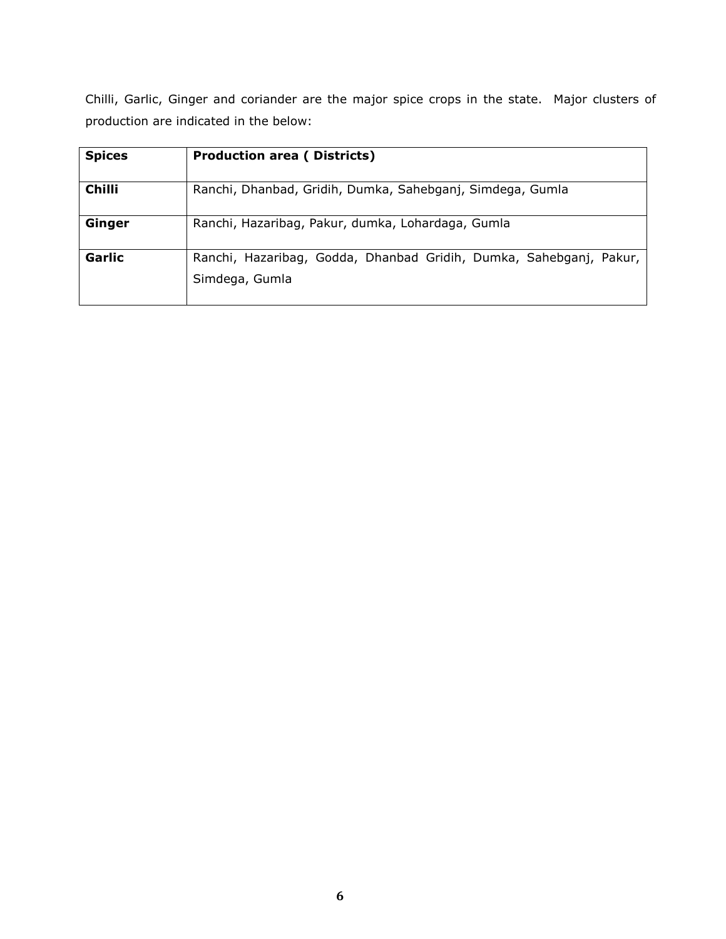Chilli, Garlic, Ginger and coriander are the major spice crops in the state. Major clusters of production are indicated in the below:

| <b>Spices</b> | <b>Production area (Districts)</b>                                                   |  |  |  |  |
|---------------|--------------------------------------------------------------------------------------|--|--|--|--|
| <b>Chilli</b> | Ranchi, Dhanbad, Gridih, Dumka, Sahebganj, Simdega, Gumla                            |  |  |  |  |
| Ginger        | Ranchi, Hazaribag, Pakur, dumka, Lohardaga, Gumla                                    |  |  |  |  |
| Garlic        | Ranchi, Hazaribag, Godda, Dhanbad Gridih, Dumka, Sahebganj, Pakur,<br>Simdega, Gumla |  |  |  |  |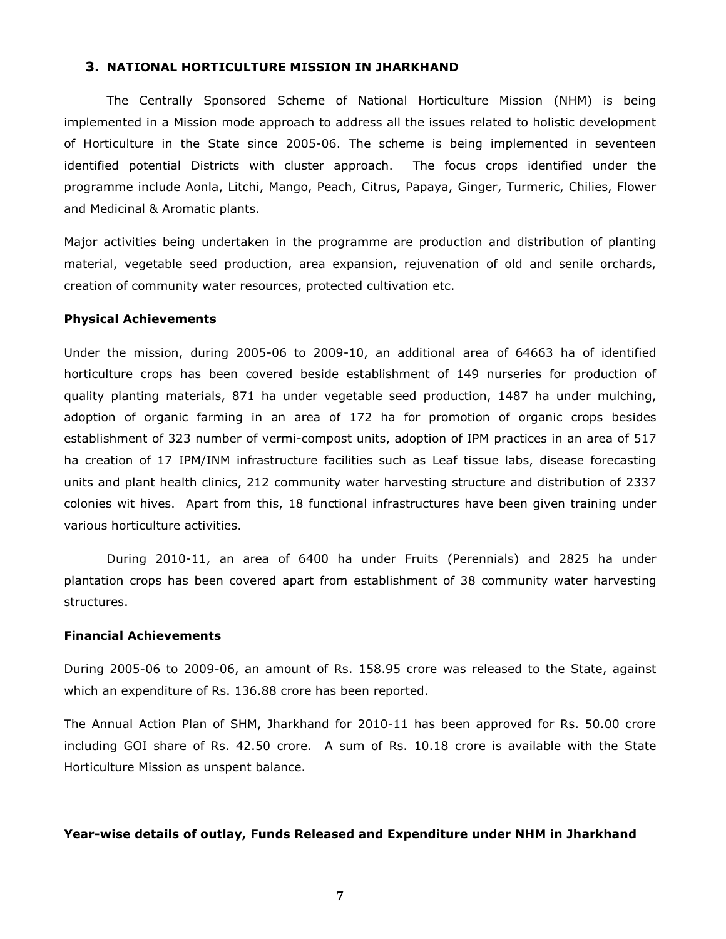#### 3. NATIONAL HORTICULTURE MISSION IN JHARKHAND

 The Centrally Sponsored Scheme of National Horticulture Mission (NHM) is being implemented in a Mission mode approach to address all the issues related to holistic development of Horticulture in the State since 2005-06. The scheme is being implemented in seventeen identified potential Districts with cluster approach. The focus crops identified under the programme include Aonla, Litchi, Mango, Peach, Citrus, Papaya, Ginger, Turmeric, Chilies, Flower and Medicinal & Aromatic plants.

Major activities being undertaken in the programme are production and distribution of planting material, vegetable seed production, area expansion, rejuvenation of old and senile orchards, creation of community water resources, protected cultivation etc.

#### Physical Achievements

Under the mission, during 2005-06 to 2009-10, an additional area of 64663 ha of identified horticulture crops has been covered beside establishment of 149 nurseries for production of quality planting materials, 871 ha under vegetable seed production, 1487 ha under mulching, adoption of organic farming in an area of 172 ha for promotion of organic crops besides establishment of 323 number of vermi-compost units, adoption of IPM practices in an area of 517 ha creation of 17 IPM/INM infrastructure facilities such as Leaf tissue labs, disease forecasting units and plant health clinics, 212 community water harvesting structure and distribution of 2337 colonies wit hives. Apart from this, 18 functional infrastructures have been given training under various horticulture activities.

 During 2010-11, an area of 6400 ha under Fruits (Perennials) and 2825 ha under plantation crops has been covered apart from establishment of 38 community water harvesting structures.

### Financial Achievements

During 2005-06 to 2009-06, an amount of Rs. 158.95 crore was released to the State, against which an expenditure of Rs. 136.88 crore has been reported.

The Annual Action Plan of SHM, Jharkhand for 2010-11 has been approved for Rs. 50.00 crore including GOI share of Rs. 42.50 crore. A sum of Rs. 10.18 crore is available with the State Horticulture Mission as unspent balance.

#### Year-wise details of outlay, Funds Released and Expenditure under NHM in Jharkhand

7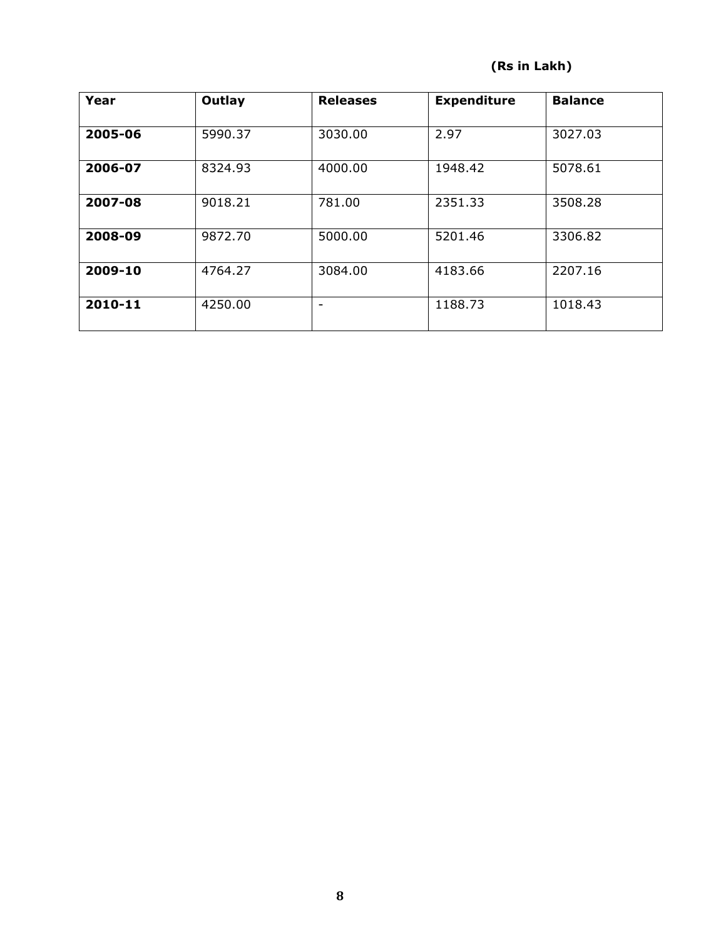# (Rs in Lakh)

| Year    | Outlay  | <b>Releases</b>          | <b>Expenditure</b> | <b>Balance</b> |
|---------|---------|--------------------------|--------------------|----------------|
| 2005-06 | 5990.37 | 3030.00                  | 2.97               | 3027.03        |
| 2006-07 | 8324.93 | 4000.00                  | 1948.42            | 5078.61        |
| 2007-08 | 9018.21 | 781.00                   | 2351.33            | 3508.28        |
| 2008-09 | 9872.70 | 5000.00                  | 5201.46            | 3306.82        |
| 2009-10 | 4764.27 | 3084.00                  | 4183.66            | 2207.16        |
| 2010-11 | 4250.00 | $\overline{\phantom{0}}$ | 1188.73            | 1018.43        |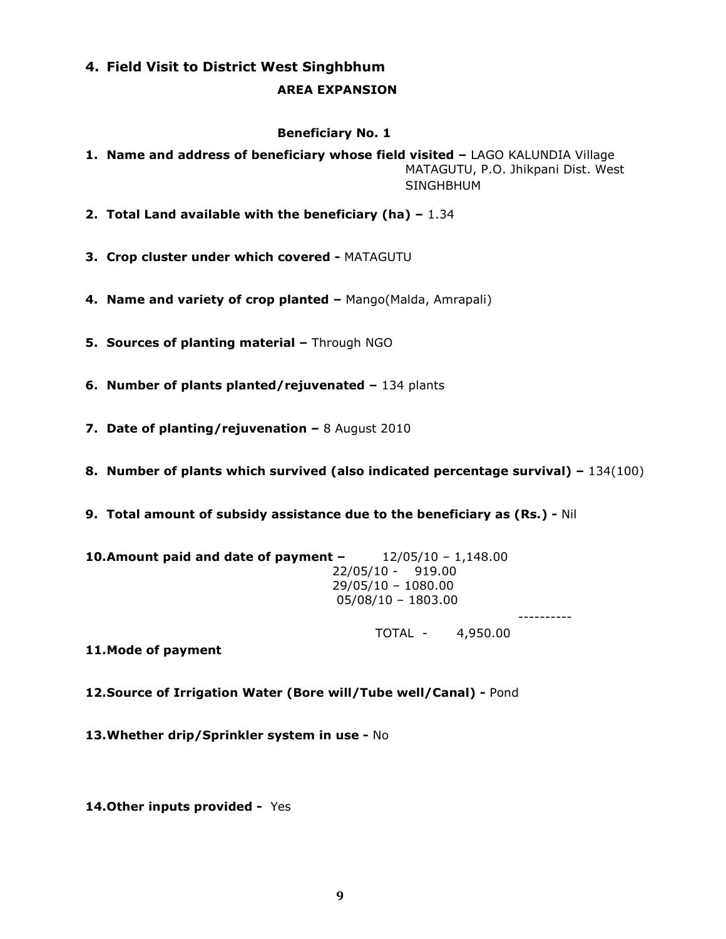# 4. Field Visit to District West Singhbhum

## AREA EXPANSION

## Beneficiary No. 1

- 1. Name and address of beneficiary whose field visited LAGO KALUNDIA Village MATAGUTU, P.O. Jhikpani Dist. West SINGHBHUM
- 2. Total Land available with the beneficiary (ha)  $-1.34$
- 3. Crop cluster under which covered MATAGUTU
- 4. Name and variety of crop planted Mango(Malda, Amrapali)
- 5. Sources of planting material Through NGO
- 6. Number of plants planted/rejuvenated 134 plants
- 7. Date of planting/rejuvenation 8 August 2010
- 8. Number of plants which survived (also indicated percentage survival) 134(100)
- 9. Total amount of subsidy assistance due to the beneficiary as (Rs.) Nil

| 10. Amount paid and date of payment - | 12/05/10 - 1,148.00  |
|---------------------------------------|----------------------|
|                                       | 22/05/10 - 919.00    |
|                                       | 29/05/10 - 1080.00   |
|                                       | $05/08/10 - 1803.00$ |

----------

TOTAL - 4,950.00

- 11.Mode of payment
- 12.Source of Irrigation Water (Bore will/Tube well/Canal) Pond
- 13. Whether drip/Sprinkler system in use No
- 14. Other inputs provided Yes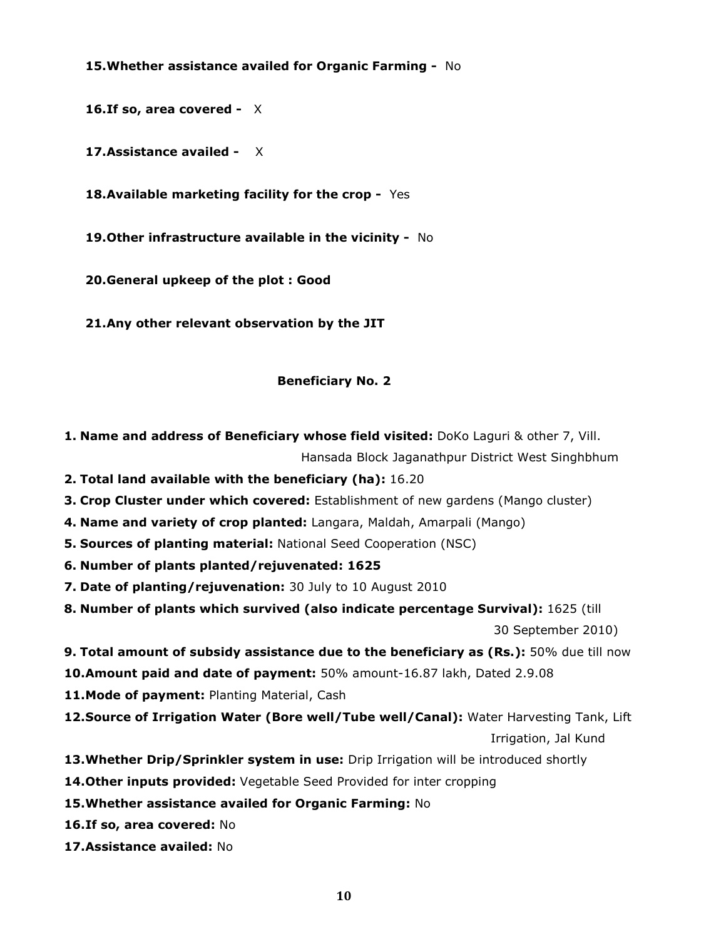15. Whether assistance availed for Organic Farming - No

16. If so, area covered -  $X$ 

17. Assistance availed - X

18. Available marketing facility for the crop - Yes

19. Other infrastructure available in the vicinity - No

20.General upkeep of the plot : Good

21.Any other relevant observation by the JIT

## Beneficiary No. 2

- 1. Name and address of Beneficiary whose field visited: DoKo Laguri & other 7, Vill. Hansada Block Jaganathpur District West Singhbhum
- 2. Total land available with the beneficiary (ha): 16.20
- 3. Crop Cluster under which covered: Establishment of new gardens (Mango cluster)
- 4. Name and variety of crop planted: Langara, Maldah, Amarpali (Mango)
- **5. Sources of planting material: National Seed Cooperation (NSC)**
- 6. Number of plants planted/rejuvenated: 1625
- 7. Date of planting/rejuvenation: 30 July to 10 August 2010
- 8. Number of plants which survived (also indicate percentage Survival): 1625 (till

30 September 2010)

9. Total amount of subsidy assistance due to the beneficiary as (Rs.): 50% due till now

10. Amount paid and date of payment: 50% amount-16.87 lakh, Dated 2.9.08

11. Mode of payment: Planting Material, Cash

- 12. Source of Irrigation Water (Bore well/Tube well/Canal): Water Harvesting Tank, Lift Irrigation, Jal Kund
- 13. Whether Drip/Sprinkler system in use: Drip Irrigation will be introduced shortly
- 14. Other inputs provided: Vegetable Seed Provided for inter cropping
- 15.Whether assistance availed for Organic Farming: No
- 16. If so, area covered: No
- 17.Assistance availed: No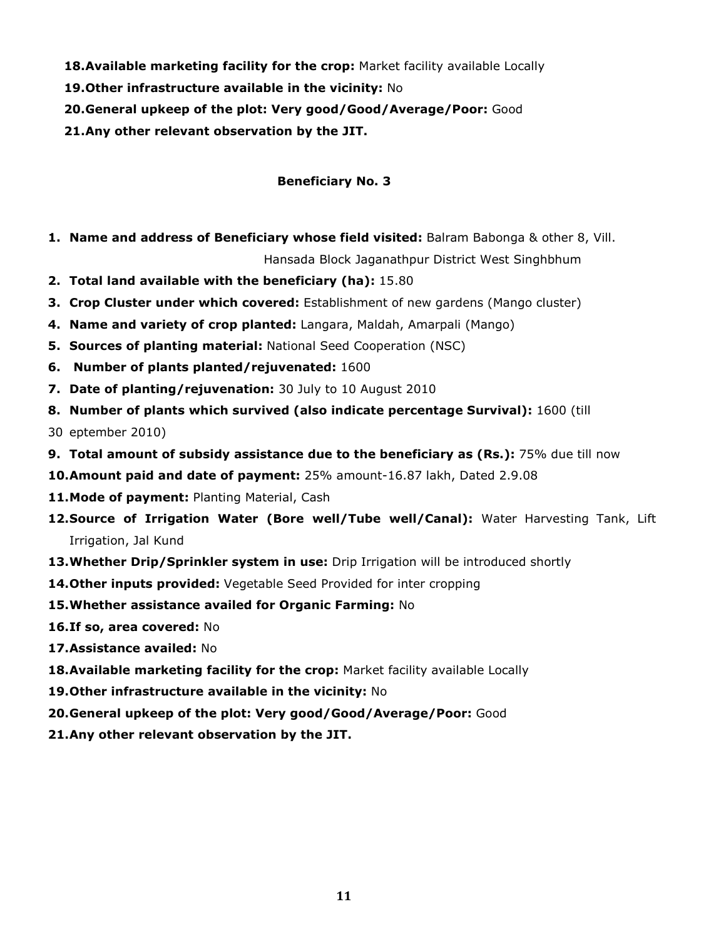- 18. Available marketing facility for the crop: Market facility available Locally
- 19.Other infrastructure available in the vicinity: No
- 20.General upkeep of the plot: Very good/Good/Average/Poor: Good
- 21.Any other relevant observation by the JIT.

# Beneficiary No. 3

1. Name and address of Beneficiary whose field visited: Balram Babonga & other 8, Vill.

Hansada Block Jaganathpur District West Singhbhum

- 2. Total land available with the beneficiary (ha): 15.80
- 3. Crop Cluster under which covered: Establishment of new gardens (Mango cluster)
- 4. Name and variety of crop planted: Langara, Maldah, Amarpali (Mango)
- 5. Sources of planting material: National Seed Cooperation (NSC)
- 6. Number of plants planted/rejuvenated: 1600
- 7. Date of planting/rejuvenation: 30 July to 10 August 2010
- 8. Number of plants which survived (also indicate percentage Survival): 1600 (till
- 30 eptember 2010)
- 9. Total amount of subsidy assistance due to the beneficiary as (Rs.): 75% due till now
- 10.Amount paid and date of payment: 25% amount-16.87 lakh, Dated 2.9.08
- 11. Mode of payment: Planting Material, Cash
- 12. Source of Irrigation Water (Bore well/Tube well/Canal): Water Harvesting Tank, Lift Irrigation, Jal Kund
- 13. Whether Drip/Sprinkler system in use: Drip Irrigation will be introduced shortly
- 14. Other inputs provided: Vegetable Seed Provided for inter cropping
- 15. Whether assistance availed for Organic Farming: No
- 16.If so, area covered: No
- 17.Assistance availed: No
- 18. Available marketing facility for the crop: Market facility available Locally
- 19. Other infrastructure available in the vicinity: No
- 20.General upkeep of the plot: Very good/Good/Average/Poor: Good
- 21.Any other relevant observation by the JIT.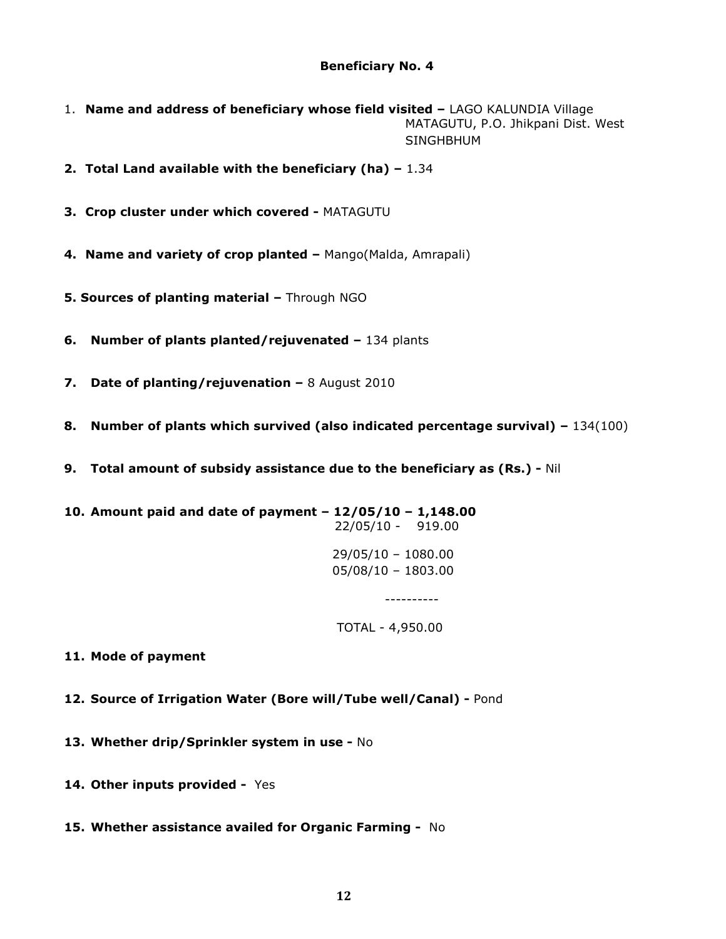# Beneficiary No. 4

- 1. Name and address of beneficiary whose field visited LAGO KALUNDIA Village MATAGUTU, P.O. Jhikpani Dist. West SINGHBHUM
- 2. Total Land available with the beneficiary (ha)  $-1.34$
- 3. Crop cluster under which covered MATAGUTU
- 4. Name and variety of crop planted Mango(Malda, Amrapali)
- 5. Sources of planting material Through NGO
- 6. Number of plants planted/rejuvenated 134 plants
- 7. Date of planting/rejuvenation 8 August 2010
- 8. Number of plants which survived (also indicated percentage survival)  $-134(100)$
- 9. Total amount of subsidy assistance due to the beneficiary as (Rs.) Nil

10. Amount paid and date of payment – 12/05/10 – 1,148.00 22/05/10 - 919.00 29/05/10 – 1080.00 05/08/10 – 1803.00 ----------

TOTAL - 4,950.00

11. Mode of payment

- 12. Source of Irrigation Water (Bore will/Tube well/Canal) Pond
- 13. Whether drip/Sprinkler system in use No
- 14. Other inputs provided Yes
- 15. Whether assistance availed for Organic Farming No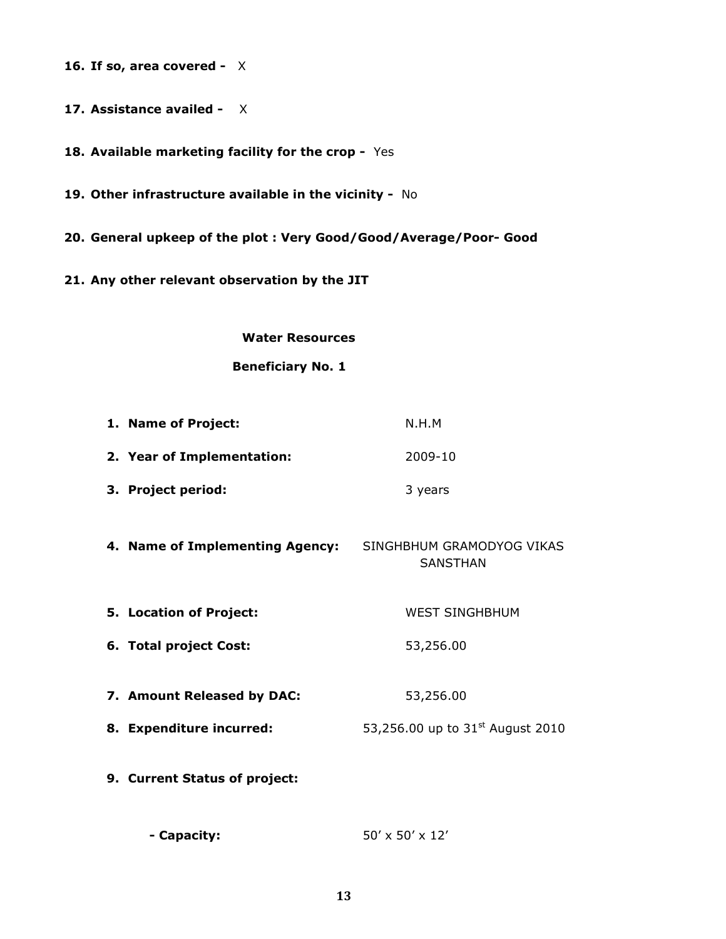16. If so, area covered -  $X$ 

17. Assistance availed - X

18. Available marketing facility for the crop - Yes

19. Other infrastructure available in the vicinity - No

- 20. General upkeep of the plot : Very Good/Good/Average/Poor- Good
- 21. Any other relevant observation by the JIT

#### Water Resources

Beneficiary No. 1

| 1. Name of Project:                                       | N.H.M                                        |
|-----------------------------------------------------------|----------------------------------------------|
| 2. Year of Implementation:                                | 2009-10                                      |
| 3. Project period:                                        | 3 years                                      |
| 4. Name of Implementing Agency: SINGHBHUM GRAMODYOG VIKAS | <b>SANSTHAN</b>                              |
| 5. Location of Project:                                   | <b>WEST SINGHBHUM</b>                        |
| 6. Total project Cost:                                    | 53,256.00                                    |
| 7. Amount Released by DAC:                                | 53,256.00                                    |
| 8. Expenditure incurred:                                  | 53,256.00 up to 31 <sup>st</sup> August 2010 |
| 9. Current Status of project:                             |                                              |
| - Capacity:                                               | $50' \times 50' \times 12'$                  |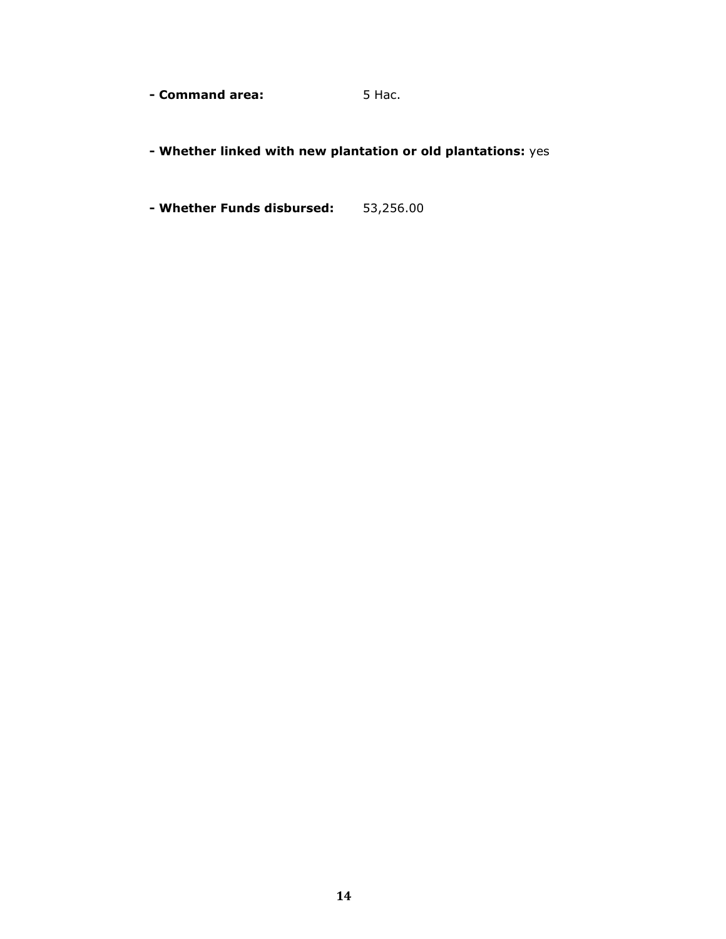- **Command area:** 5 Hac.

- Whether linked with new plantation or old plantations: yes

- Whether Funds disbursed: 53,256.00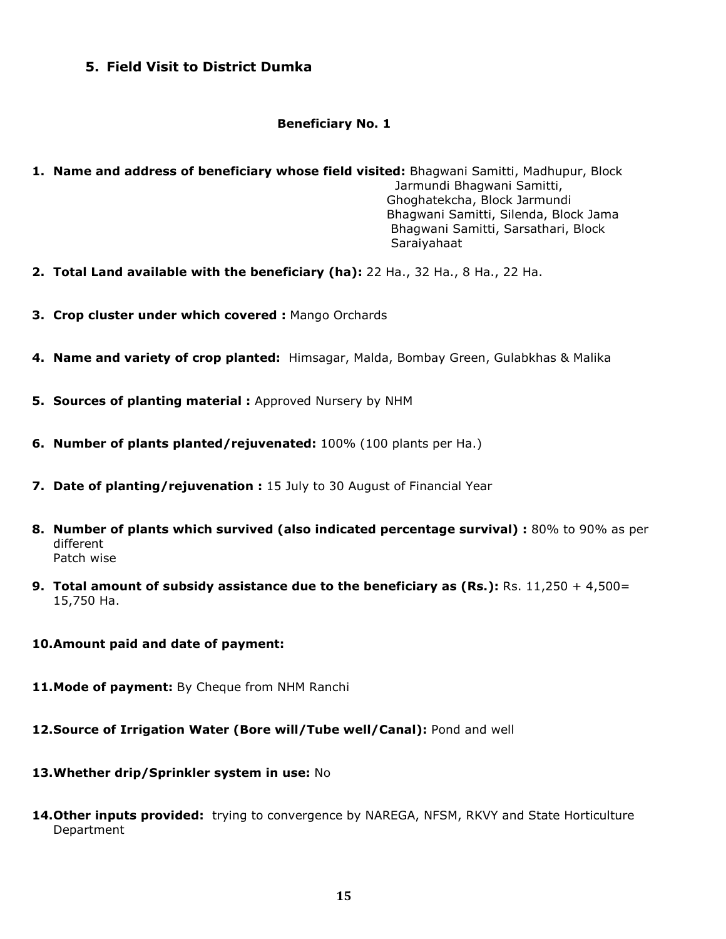# 5. Field Visit to District Dumka

# Beneficiary No. 1

- 1. Name and address of beneficiary whose field visited: Bhagwani Samitti, Madhupur, Block Jarmundi Bhagwani Samitti, Ghoghatekcha, Block Jarmundi Bhagwani Samitti, Silenda, Block Jama Bhagwani Samitti, Sarsathari, Block Saraiyahaat
- 2. Total Land available with the beneficiary (ha): 22 Ha., 32 Ha., 8 Ha., 22 Ha.
- 3. Crop cluster under which covered : Mango Orchards
- 4. Name and variety of crop planted: Himsagar, Malda, Bombay Green, Gulabkhas & Malika
- **5. Sources of planting material :** Approved Nursery by NHM
- 6. Number of plants planted/rejuvenated: 100% (100 plants per Ha.)
- 7. Date of planting/rejuvenation : 15 July to 30 August of Financial Year
- 8. Number of plants which survived (also indicated percentage survival) : 80% to 90% as per different Patch wise
- 9. Total amount of subsidy assistance due to the beneficiary as (Rs.): Rs.  $11,250 + 4,500 =$ 15,750 Ha.
- 10.Amount paid and date of payment:
- 11. Mode of payment: By Cheque from NHM Ranchi
- 12. Source of Irrigation Water (Bore will/Tube well/Canal): Pond and well
- 13. Whether drip/Sprinkler system in use: No
- 14. Other inputs provided: trying to convergence by NAREGA, NFSM, RKVY and State Horticulture Department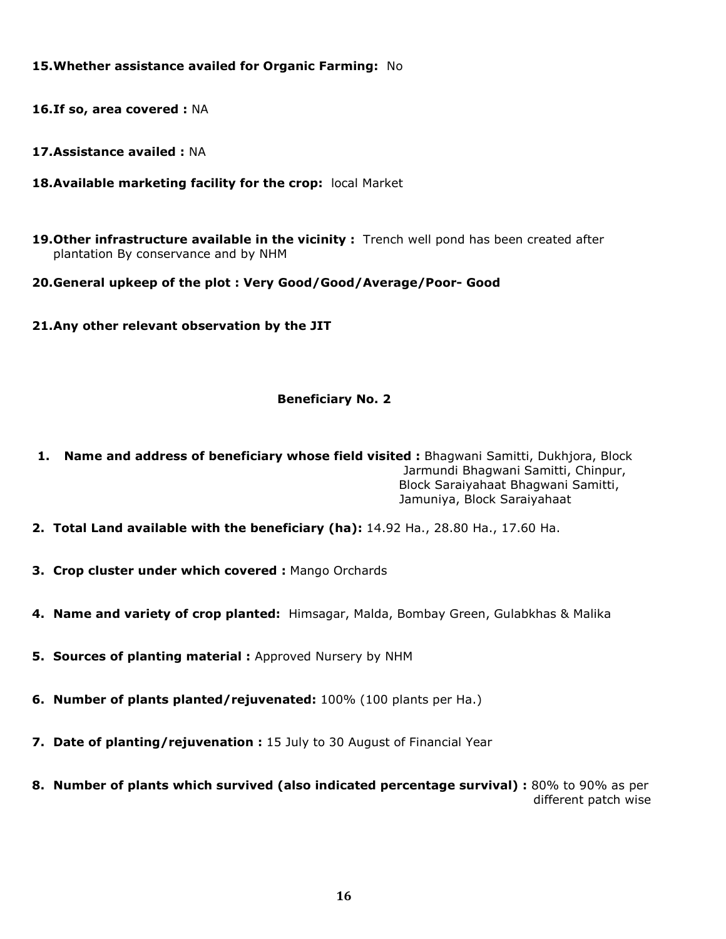# 15.Whether assistance availed for Organic Farming: No

- 16.If so, area covered : NA
- 17.Assistance availed : NA
- 18. Available marketing facility for the crop: local Market
- 19. Other infrastructure available in the vicinity : Trench well pond has been created after plantation By conservance and by NHM

# 20.General upkeep of the plot : Very Good/Good/Average/Poor- Good

21.Any other relevant observation by the JIT

## Beneficiary No. 2

- 1. Name and address of beneficiary whose field visited : Bhagwani Samitti, Dukhjora, Block Jarmundi Bhagwani Samitti, Chinpur, Block Saraiyahaat Bhagwani Samitti, Jamuniya, Block Saraiyahaat
- 2. Total Land available with the beneficiary (ha): 14.92 Ha., 28.80 Ha., 17.60 Ha.
- 3. Crop cluster under which covered : Mango Orchards
- 4. Name and variety of crop planted: Himsagar, Malda, Bombay Green, Gulabkhas & Malika
- 5. Sources of planting material: Approved Nursery by NHM
- **6. Number of plants planted/rejuvenated:** 100% (100 plants per Ha.)
- 7. Date of planting/rejuvenation : 15 July to 30 August of Financial Year
- 8. Number of plants which survived (also indicated percentage survival) : 80% to 90% as per different patch wise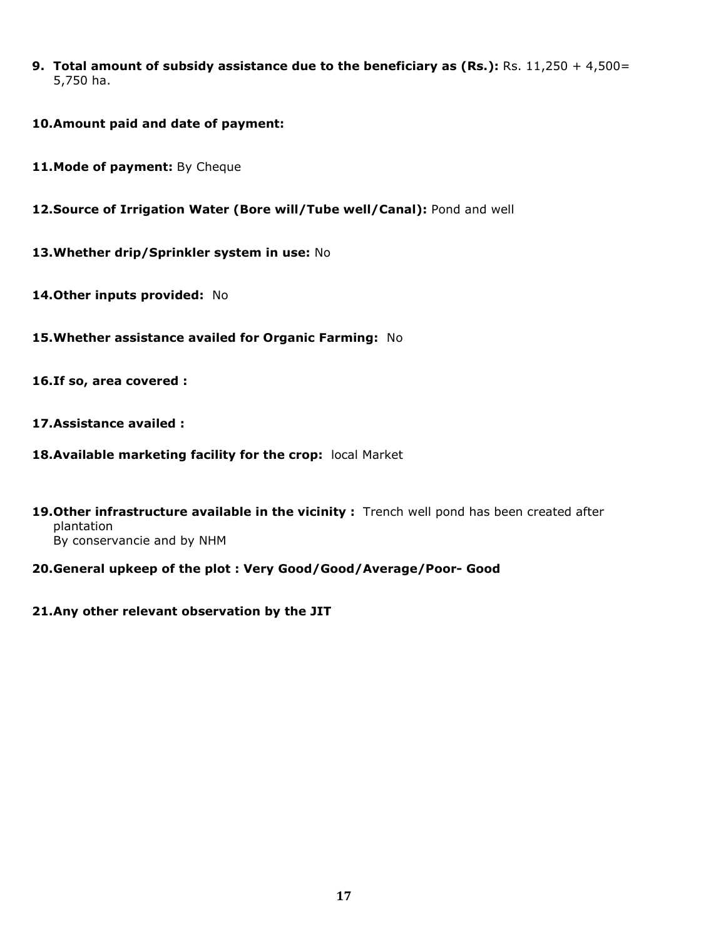- 9. Total amount of subsidy assistance due to the beneficiary as (Rs.): Rs.  $11,250 + 4,500 =$ 5,750 ha.
- 10.Amount paid and date of payment:
- 11. Mode of payment: By Cheque
- 12. Source of Irrigation Water (Bore will/Tube well/Canal): Pond and well
- 13. Whether drip/Sprinkler system in use: No
- 14. Other inputs provided: No
- 15.Whether assistance availed for Organic Farming: No
- 16.If so, area covered :
- 17.Assistance availed :
- 18. Available marketing facility for the crop: local Market
- 19. Other infrastructure available in the vicinity : Trench well pond has been created after plantation By conservancie and by NHM
- 20.General upkeep of the plot : Very Good/Good/Average/Poor- Good
- 21.Any other relevant observation by the JIT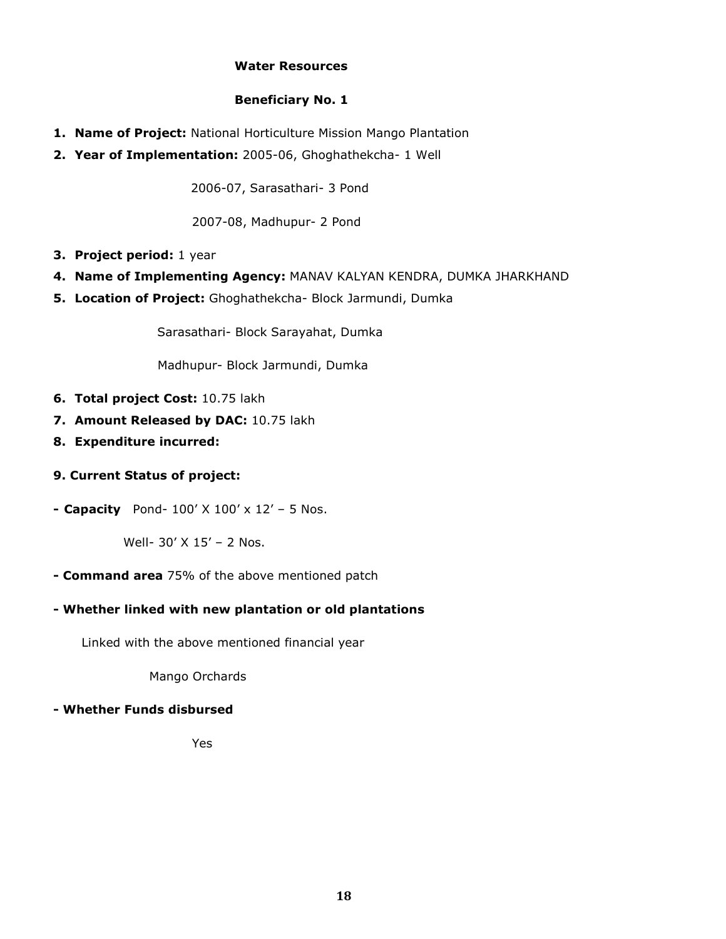## Water Resources

## Beneficiary No. 1

- 1. Name of Project: National Horticulture Mission Mango Plantation
- 2. Year of Implementation: 2005-06, Ghoghathekcha- 1 Well

2006-07, Sarasathari- 3 Pond

2007-08, Madhupur- 2 Pond

- 3. Project period: 1 year
- 4. Name of Implementing Agency: MANAV KALYAN KENDRA, DUMKA JHARKHAND
- 5. Location of Project: Ghoghathekcha- Block Jarmundi, Dumka

Sarasathari- Block Sarayahat, Dumka

Madhupur- Block Jarmundi, Dumka

- 6. Total project Cost: 10.75 lakh
- 7. Amount Released by DAC: 10.75 lakh
- 8. Expenditure incurred:
- 9. Current Status of project:
- Capacity Pond-  $100'$  X  $100'$  x  $12'$  5 Nos.

Well- 30' X 15' – 2 Nos.

- **Command area** 75% of the above mentioned patch

# - Whether linked with new plantation or old plantations

Linked with the above mentioned financial year

Mango Orchards

# - Whether Funds disbursed

Yes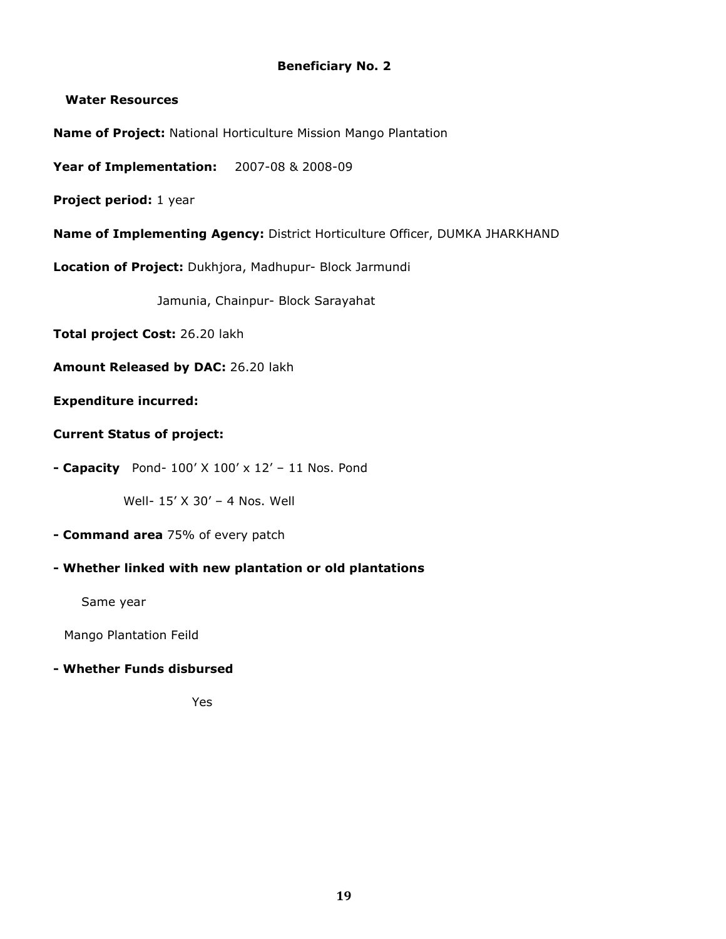# Beneficiary No. 2

## Water Resources

Name of Project: National Horticulture Mission Mango Plantation

Year of Implementation: 2007-08 & 2008-09

Project period: 1 year

Name of Implementing Agency: District Horticulture Officer, DUMKA JHARKHAND

Location of Project: Dukhjora, Madhupur- Block Jarmundi

Jamunia, Chainpur- Block Sarayahat

Total project Cost: 26.20 lakh

Amount Released by DAC: 26.20 lakh

## Expenditure incurred:

# Current Status of project:

- Capacity Pond-  $100'$  X  $100'$  x  $12'$  – 11 Nos. Pond

Well- 15' X 30' – 4 Nos. Well

- **Command area** 75% of every patch

# - Whether linked with new plantation or old plantations

Same year

Mango Plantation Feild

## - Whether Funds disbursed

Yes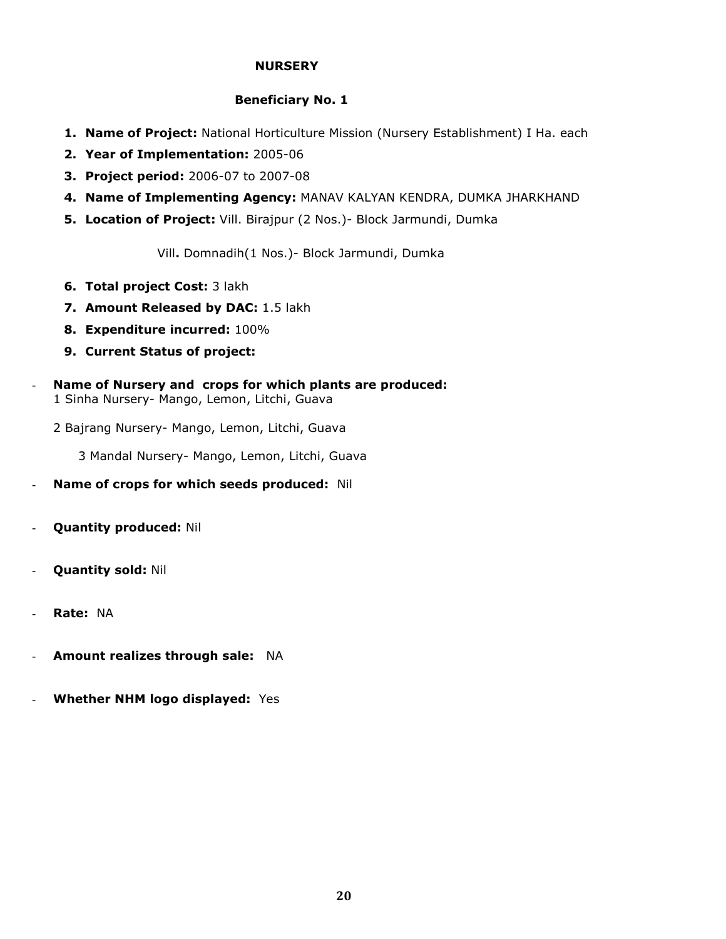## **NURSERY**

## Beneficiary No. 1

- 1. Name of Project: National Horticulture Mission (Nursery Establishment) I Ha. each
- 2. Year of Implementation: 2005-06
- 3. Project period: 2006-07 to 2007-08
- 4. Name of Implementing Agency: MANAV KALYAN KENDRA, DUMKA JHARKHAND
- 5. Location of Project: Vill. Birajpur (2 Nos.) Block Jarmundi, Dumka

Vill. Domnadih(1 Nos.)- Block Jarmundi, Dumka

- 6. Total project Cost: 3 lakh
- 7. Amount Released by DAC: 1.5 lakh
- 8. Expenditure incurred: 100%
- 9. Current Status of project:
- Name of Nursery and crops for which plants are produced: 1 Sinha Nursery- Mango, Lemon, Litchi, Guava

2 Bajrang Nursery- Mango, Lemon, Litchi, Guava

3 Mandal Nursery- Mango, Lemon, Litchi, Guava

- Name of crops for which seeds produced: Nil
- Quantity produced: Nil
- Quantity sold: Nil
- Rate: NA
- Amount realizes through sale: NA
- Whether NHM logo displayed: Yes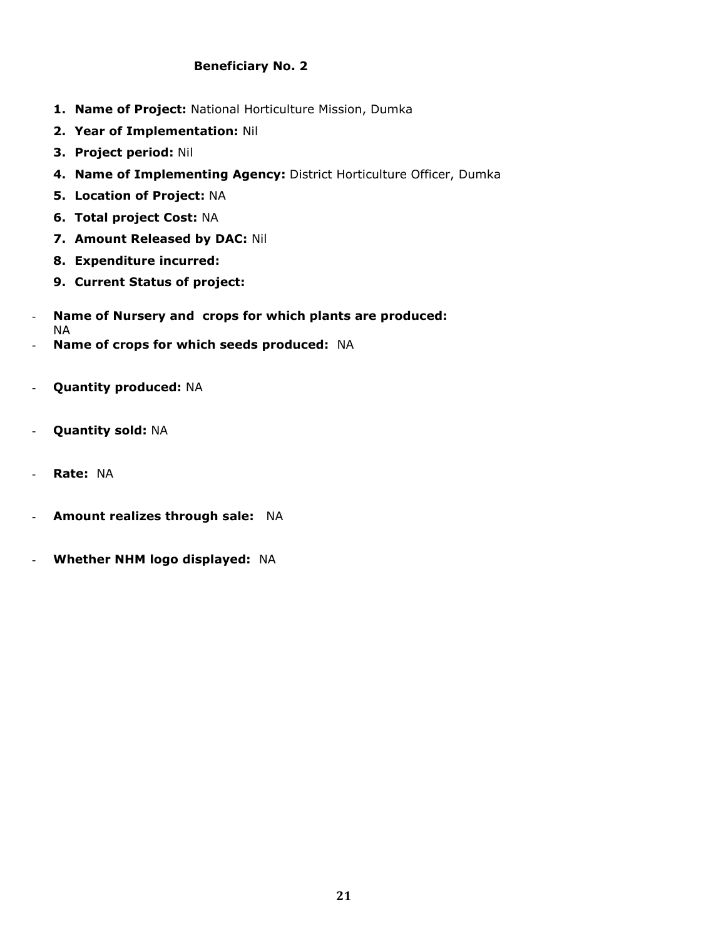# Beneficiary No. 2

- 1. Name of Project: National Horticulture Mission, Dumka
- 2. Year of Implementation: Nil
- 3. Project period: Nil
- 4. Name of Implementing Agency: District Horticulture Officer, Dumka
- 5. Location of Project: NA
- 6. Total project Cost: NA
- 7. Amount Released by DAC: Nil
- 8. Expenditure incurred:
- 9. Current Status of project:
- Name of Nursery and crops for which plants are produced: NA
- Name of crops for which seeds produced: NA
- Quantity produced: NA
- Quantity sold: NA
- Rate: NA
- Amount realizes through sale: NA
- Whether NHM logo displayed: NA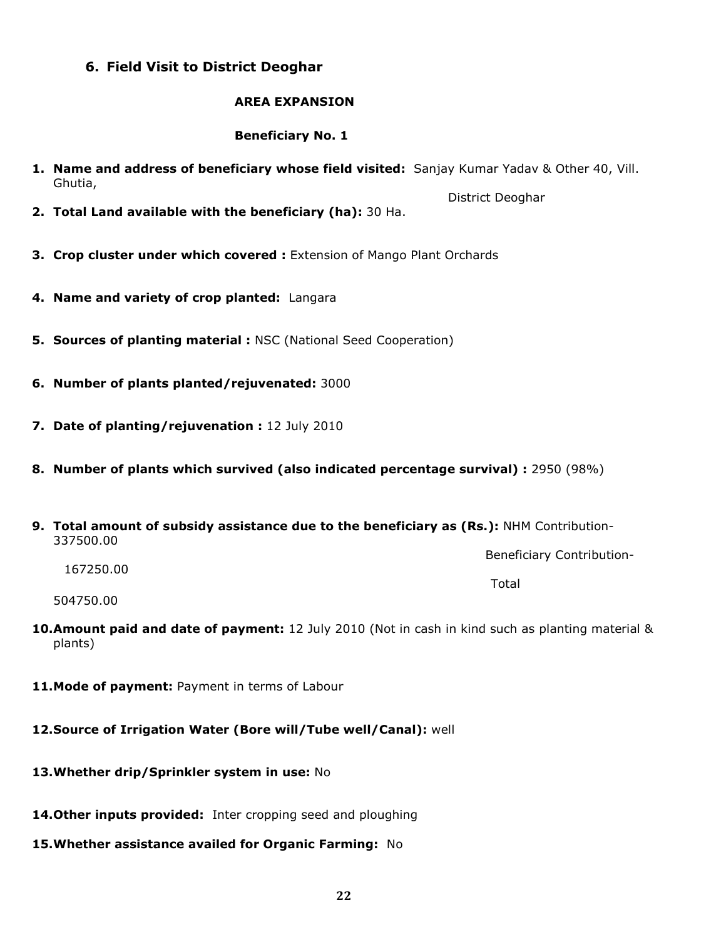# 6. Field Visit to District Deoghar

### AREA EXPANSION

## Beneficiary No. 1

- 1. Name and address of beneficiary whose field visited: Sanjay Kumar Yadav & Other 40, Vill. Ghutia,
- 2. Total Land available with the beneficiary (ha): 30 Ha.
- **3. Crop cluster under which covered : Extension of Mango Plant Orchards**
- 4. Name and variety of crop planted: Langara
- **5. Sources of planting material : NSC (National Seed Cooperation)**
- 6. Number of plants planted/rejuvenated: 3000
- 7. Date of planting/rejuvenation : 12 July 2010
- 8. Number of plants which survived (also indicated percentage survival) : 2950 (98%)
- 9. Total amount of subsidy assistance due to the beneficiary as (Rs.): NHM Contribution-337500.00

Beneficiary Contribution-

167250.00

the contract of the contract of the contract of the contract of the contract of the contract of the contract of

District Deoghar

504750.00

- 10. Amount paid and date of payment: 12 July 2010 (Not in cash in kind such as planting material & plants)
- 11. Mode of payment: Payment in terms of Labour
- 12.Source of Irrigation Water (Bore will/Tube well/Canal): well
- 13. Whether drip/Sprinkler system in use: No
- 14. Other inputs provided: Inter cropping seed and ploughing
- 15. Whether assistance availed for Organic Farming: No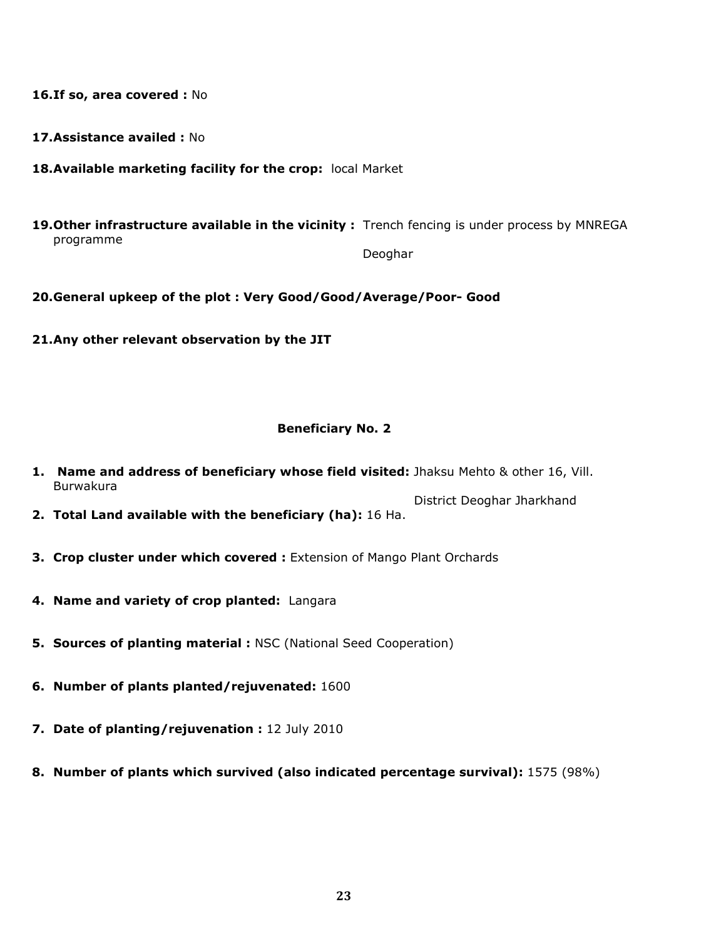16.If so, area covered : No

- 17.Assistance availed : No
- 18. Available marketing facility for the crop: local Market
- 19. Other infrastructure available in the vicinity : Trench fencing is under process by MNREGA programme

Deoghar

- 20.General upkeep of the plot : Very Good/Good/Average/Poor- Good
- 21.Any other relevant observation by the JIT

#### Beneficiary No. 2

- 1. Name and address of beneficiary whose field visited: Jhaksu Mehto & other 16, Vill. Burwakura
- District Deoghar Jharkhand 2. Total Land available with the beneficiary (ha): 16 Ha.
- **3. Crop cluster under which covered :** Extension of Mango Plant Orchards
- 4. Name and variety of crop planted: Langara
- **5. Sources of planting material : NSC (National Seed Cooperation)**
- 6. Number of plants planted/rejuvenated: 1600
- 7. Date of planting/rejuvenation : 12 July 2010
- 8. Number of plants which survived (also indicated percentage survival): 1575 (98%)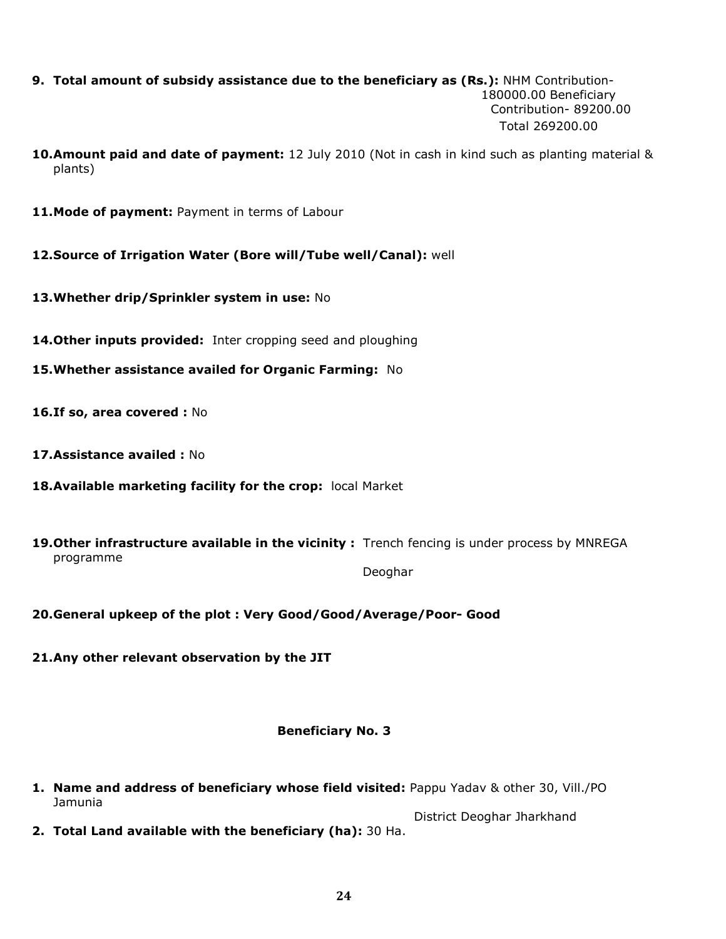- 9. Total amount of subsidy assistance due to the beneficiary as (Rs.): NHM Contribution- 180000.00 Beneficiary Contribution- 89200.00 Total 269200.00
- 10. Amount paid and date of payment: 12 July 2010 (Not in cash in kind such as planting material & plants)
- 11. Mode of payment: Payment in terms of Labour
- 12.Source of Irrigation Water (Bore will/Tube well/Canal): well
- 13. Whether drip/Sprinkler system in use: No
- 14. Other inputs provided: Inter cropping seed and ploughing
- 15.Whether assistance availed for Organic Farming: No
- 16.If so, area covered : No
- 17.Assistance availed : No
- 18. Available marketing facility for the crop: local Market
- 19. Other infrastructure available in the vicinity: Trench fencing is under process by MNREGA programme

Deoghar

20.General upkeep of the plot : Very Good/Good/Average/Poor- Good

21.Any other relevant observation by the JIT

## Beneficiary No. 3

1. Name and address of beneficiary whose field visited: Pappu Yadav & other 30, Vill./PO Jamunia

 District Deoghar Jharkhand 2. Total Land available with the beneficiary (ha): 30 Ha.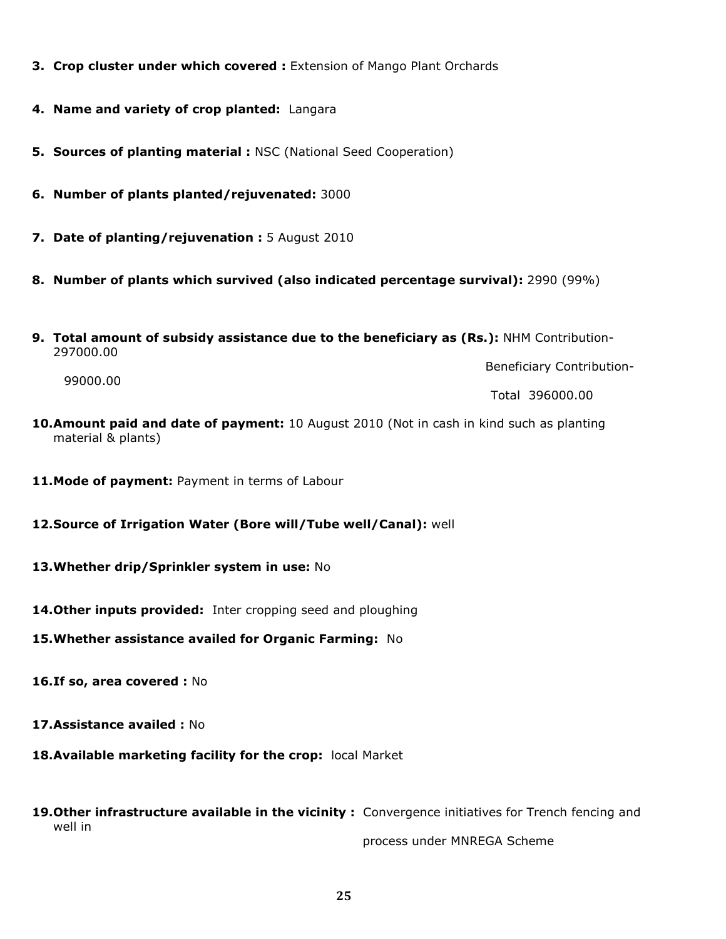- **3. Crop cluster under which covered : Extension of Mango Plant Orchards**
- 4. Name and variety of crop planted: Langara
- **5. Sources of planting material : NSC (National Seed Cooperation)**
- 6. Number of plants planted/rejuvenated: 3000
- 7. Date of planting/rejuvenation : 5 August 2010
- 8. Number of plants which survived (also indicated percentage survival): 2990 (99%)
- 9. Total amount of subsidy assistance due to the beneficiary as (Rs.): NHM Contribution-297000.00

Beneficiary Contribution-

99000.00

Total 396000.00

- 10.Amount paid and date of payment: 10 August 2010 (Not in cash in kind such as planting material & plants)
- 11. Mode of payment: Payment in terms of Labour
- 12.Source of Irrigation Water (Bore will/Tube well/Canal): well
- 13. Whether drip/Sprinkler system in use: No
- 14. Other inputs provided: Inter cropping seed and ploughing
- 15. Whether assistance availed for Organic Farming: No
- 16.If so, area covered : No
- 17.Assistance availed : No
- 18. Available marketing facility for the crop: local Market
- 19. Other infrastructure available in the vicinity : Convergence initiatives for Trench fencing and well in

process under MNREGA Scheme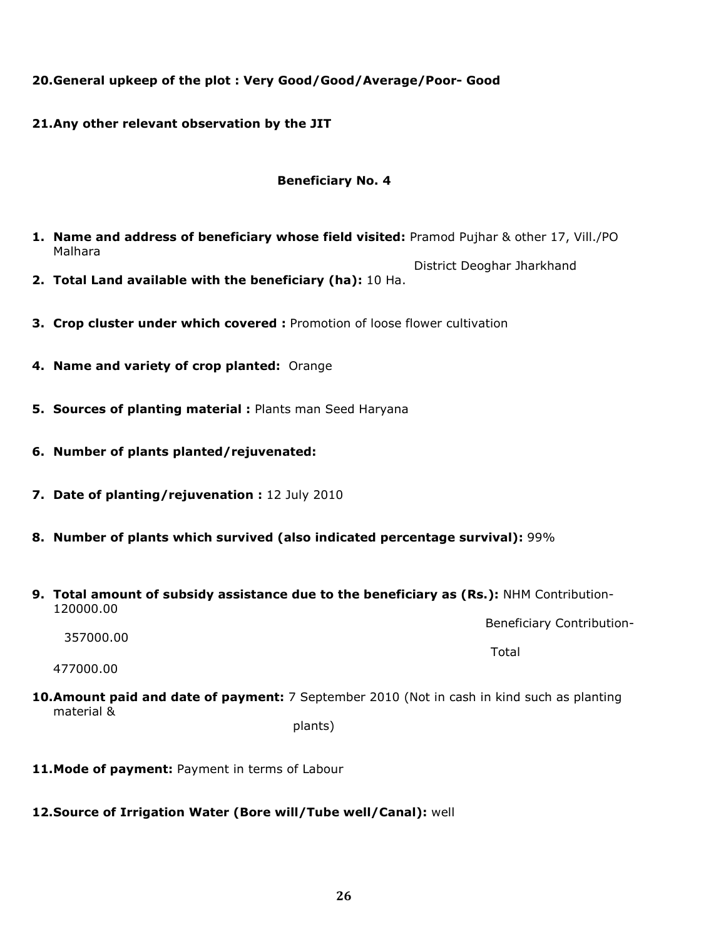# 20.General upkeep of the plot : Very Good/Good/Average/Poor- Good

21.Any other relevant observation by the JIT

## Beneficiary No. 4

- 1. Name and address of beneficiary whose field visited: Pramod Pujhar & other 17, Vill./PO Malhara
- District Deoghar Jharkhand 2. Total Land available with the beneficiary (ha): 10 Ha.
- **3. Crop cluster under which covered :** Promotion of loose flower cultivation
- 4. Name and variety of crop planted: Orange
- 5. Sources of planting material : Plants man Seed Haryana
- 6. Number of plants planted/rejuvenated:
- 7. Date of planting/rejuvenation : 12 July 2010
- 8. Number of plants which survived (also indicated percentage survival): 99%
- 9. Total amount of subsidy assistance due to the beneficiary as (Rs.): NHM Contribution-120000.00

Beneficiary Contribution-

357000.00 the contract of the contract of the contract of the contract of the contract of the contract of the contract of 477000.00

10.Amount paid and date of payment: 7 September 2010 (Not in cash in kind such as planting material &

plants)

11. Mode of payment: Payment in terms of Labour

# 12.Source of Irrigation Water (Bore will/Tube well/Canal): well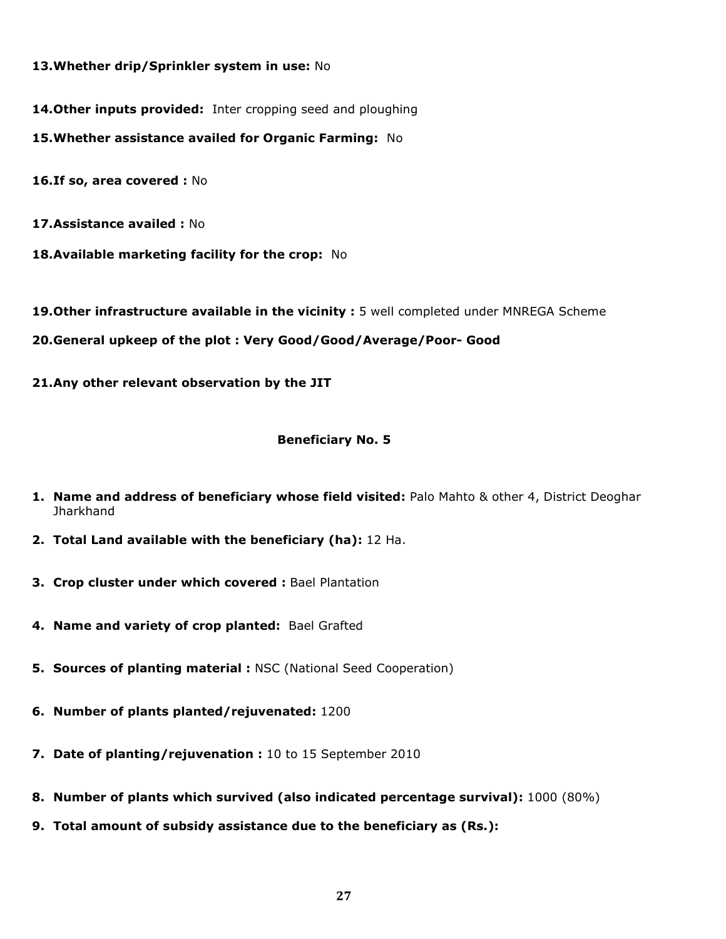## 13. Whether drip/Sprinkler system in use: No

14. Other inputs provided: Inter cropping seed and ploughing

15. Whether assistance availed for Organic Farming: No

16.If so, area covered : No

17.Assistance availed : No

18. Available marketing facility for the crop: No

19. Other infrastructure available in the vicinity : 5 well completed under MNREGA Scheme

20.General upkeep of the plot : Very Good/Good/Average/Poor- Good

21.Any other relevant observation by the JIT

## Beneficiary No. 5

- **1. Name and address of beneficiary whose field visited:** Palo Mahto & other 4, District Deoghar **Jharkhand**
- 2. Total Land available with the beneficiary (ha): 12 Ha.
- 3. Crop cluster under which covered : Bael Plantation
- 4. Name and variety of crop planted: Bael Grafted
- **5. Sources of planting material : NSC (National Seed Cooperation)**
- 6. Number of plants planted/rejuvenated: 1200
- 7. Date of planting/rejuvenation : 10 to 15 September 2010
- 8. Number of plants which survived (also indicated percentage survival): 1000 (80%)
- 9. Total amount of subsidy assistance due to the beneficiary as (Rs.):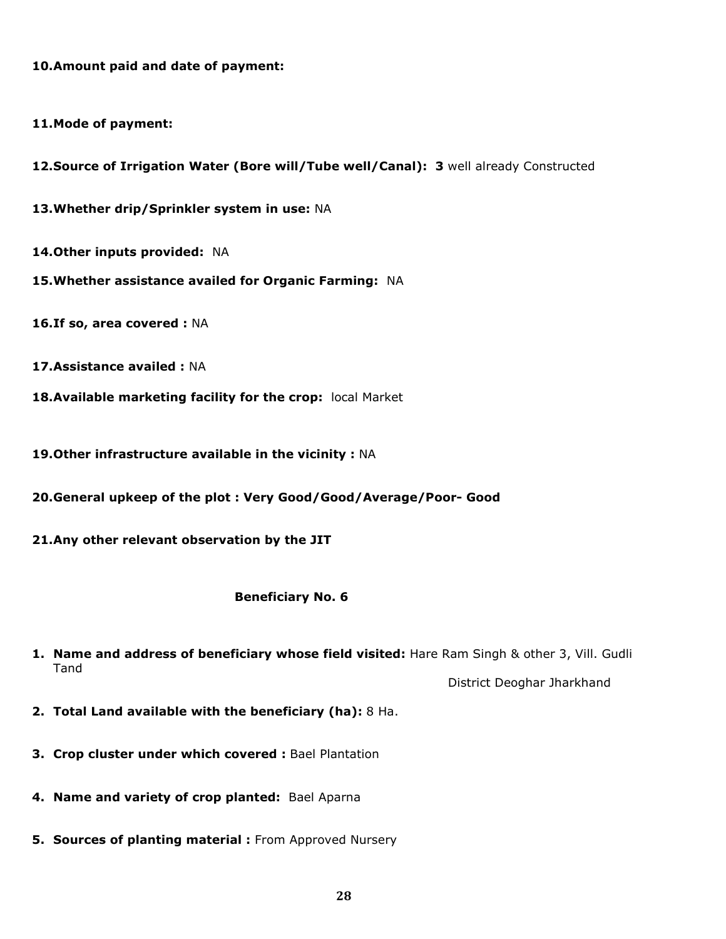10.Amount paid and date of payment:

11.Mode of payment:

12. Source of Irrigation Water (Bore will/Tube well/Canal): 3 well already Constructed

13. Whether drip/Sprinkler system in use: NA

14. Other inputs provided: NA

- 15. Whether assistance availed for Organic Farming: NA
- 16.If so, area covered : NA
- 17.Assistance availed : NA
- 18. Available marketing facility for the crop: local Market

19. Other infrastructure available in the vicinity : NA

20.General upkeep of the plot : Very Good/Good/Average/Poor- Good

21.Any other relevant observation by the JIT

## Beneficiary No. 6

1. Name and address of beneficiary whose field visited: Hare Ram Singh & other 3, Vill. Gudli Tand

District Deoghar Jharkhand

- 2. Total Land available with the beneficiary (ha): 8 Ha.
- 3. Crop cluster under which covered : Bael Plantation
- 4. Name and variety of crop planted: Bael Aparna
- **5. Sources of planting material : From Approved Nursery**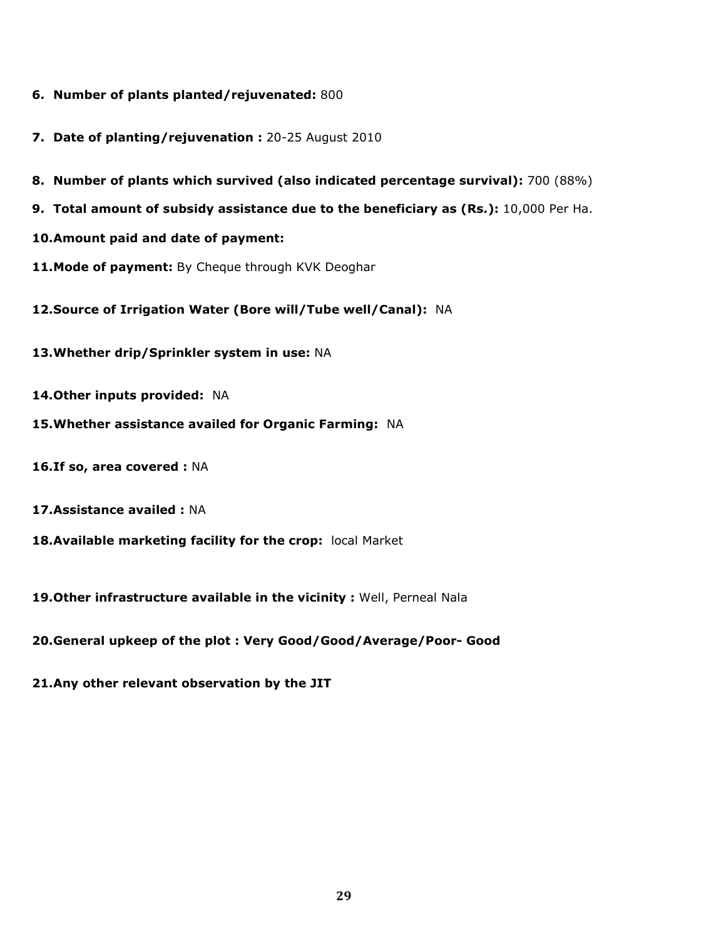- 6. Number of plants planted/rejuvenated: 800
- 7. Date of planting/rejuvenation : 20-25 August 2010
- 8. Number of plants which survived (also indicated percentage survival): 700 (88%)
- 9. Total amount of subsidy assistance due to the beneficiary as (Rs.): 10,000 Per Ha.
- 10.Amount paid and date of payment:
- 11. Mode of payment: By Cheque through KVK Deoghar
- 12.Source of Irrigation Water (Bore will/Tube well/Canal): NA
- 13. Whether drip/Sprinkler system in use: NA
- 14. Other inputs provided: NA
- 15.Whether assistance availed for Organic Farming: NA
- 16.If so, area covered : NA
- 17.Assistance availed : NA
- 18. Available marketing facility for the crop: local Market
- 19. Other infrastructure available in the vicinity : Well, Perneal Nala
- 20.General upkeep of the plot : Very Good/Good/Average/Poor- Good
- 21.Any other relevant observation by the JIT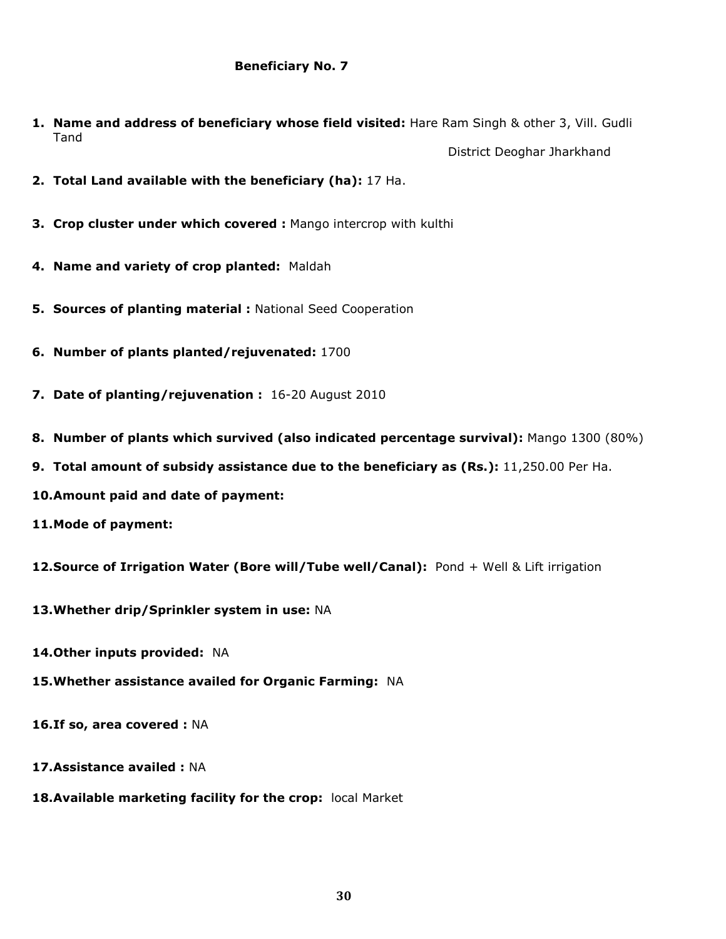- 1. Name and address of beneficiary whose field visited: Hare Ram Singh & other 3, Vill. Gudli Tand District Deoghar Jharkhand
- 2. Total Land available with the beneficiary (ha): 17 Ha.
- **3. Crop cluster under which covered : Mango intercrop with kulthi**
- 4. Name and variety of crop planted: Maldah
- 5. Sources of planting material : National Seed Cooperation
- 6. Number of plants planted/rejuvenated: 1700
- 7. Date of planting/rejuvenation : 16-20 August 2010
- 8. Number of plants which survived (also indicated percentage survival): Mango 1300 (80%)
- 9. Total amount of subsidy assistance due to the beneficiary as (Rs.): 11,250.00 Per Ha.
- 10.Amount paid and date of payment:
- 11.Mode of payment:
- 12. Source of Irrigation Water (Bore will/Tube well/Canal): Pond + Well & Lift irrigation
- 13.Whether drip/Sprinkler system in use: NA
- 14. Other inputs provided: NA
- 15.Whether assistance availed for Organic Farming: NA
- 16.If so, area covered : NA
- 17.Assistance availed : NA
- 18. Available marketing facility for the crop: local Market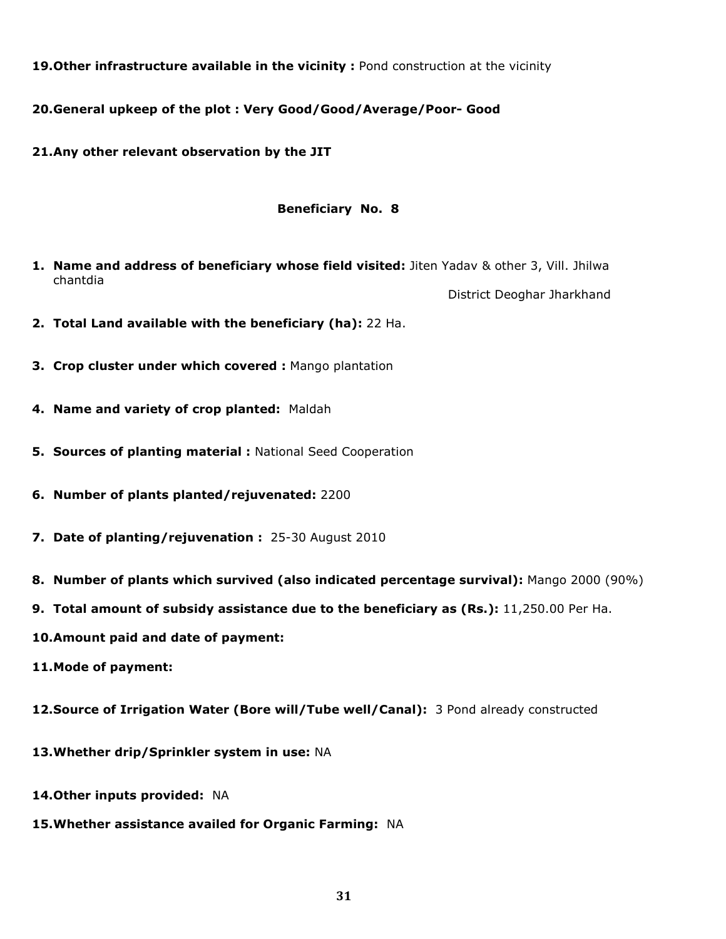19. Other infrastructure available in the vicinity: Pond construction at the vicinity

20.General upkeep of the plot : Very Good/Good/Average/Poor- Good

21.Any other relevant observation by the JIT

## Beneficiary No. 8

1. Name and address of beneficiary whose field visited: Jiten Yadav & other 3, Vill. Jhilwa chantdia

District Deoghar Jharkhand

- 2. Total Land available with the beneficiary (ha): 22 Ha.
- 3. Crop cluster under which covered : Mango plantation
- 4. Name and variety of crop planted: Maldah
- 5. Sources of planting material : National Seed Cooperation
- 6. Number of plants planted/rejuvenated: 2200
- 7. Date of planting/rejuvenation : 25-30 August 2010
- 8. Number of plants which survived (also indicated percentage survival): Mango 2000 (90%)
- 9. Total amount of subsidy assistance due to the beneficiary as (Rs.): 11,250.00 Per Ha.
- 10.Amount paid and date of payment:
- 11.Mode of payment:
- 12.Source of Irrigation Water (Bore will/Tube well/Canal): 3 Pond already constructed
- 13. Whether drip/Sprinkler system in use: NA
- 14. Other inputs provided: NA
- 15.Whether assistance availed for Organic Farming: NA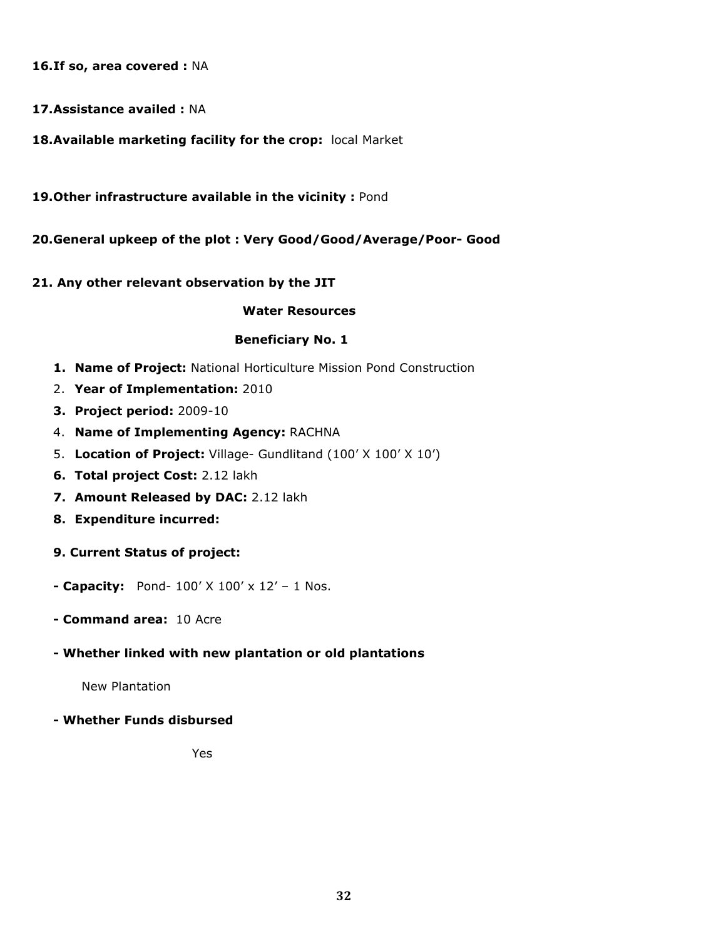16.If so, area covered : NA

- 17.Assistance availed : NA
- 18. Available marketing facility for the crop: local Market
- 19. Other infrastructure available in the vicinity : Pond
- 20.General upkeep of the plot : Very Good/Good/Average/Poor- Good

## 21. Any other relevant observation by the JIT

## Water Resources

## Beneficiary No. 1

- 1. Name of Project: National Horticulture Mission Pond Construction
- 2. Year of Implementation: 2010
- 3. Project period: 2009-10
- 4. Name of Implementing Agency: RACHNA
- 5. Location of Project: Village- Gundlitand (100' X 100' X 10')
- 6. Total project Cost: 2.12 lakh
- 7. Amount Released by DAC: 2.12 lakh
- 8. Expenditure incurred:
- 9. Current Status of project:
- Capacity: Pond-  $100'$  X  $100'$  x  $12'$  1 Nos.
- Command area: 10 Acre

# - Whether linked with new plantation or old plantations

New Plantation

# - Whether Funds disbursed

*Yes* **Yes**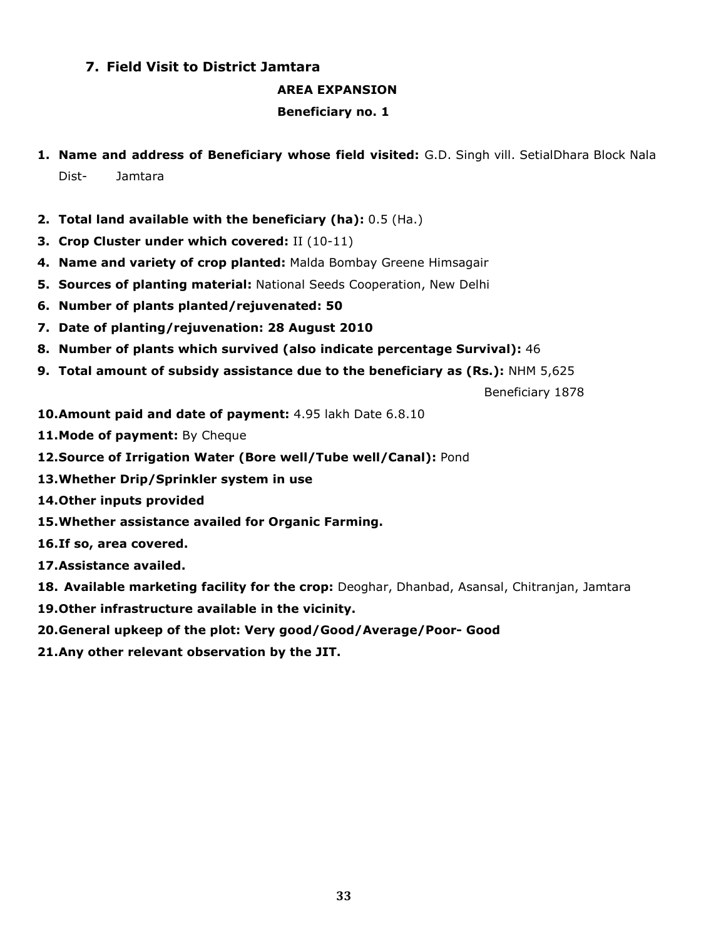# 7. Field Visit to District Jamtara

## AREA EXPANSION

## Beneficiary no. 1

- 1. Name and address of Beneficiary whose field visited: G.D. Singh vill. SetialDhara Block Nala Dist- Jamtara
- 2. Total land available with the beneficiary (ha): 0.5 (Ha.)
- 3. Crop Cluster under which covered: II (10-11)
- 4. Name and variety of crop planted: Malda Bombay Greene Himsagair
- **5. Sources of planting material: National Seeds Cooperation, New Delhi**
- 6. Number of plants planted/rejuvenated: 50
- 7. Date of planting/rejuvenation: 28 August 2010
- 8. Number of plants which survived (also indicate percentage Survival): 46
- 9. Total amount of subsidy assistance due to the beneficiary as (Rs.): NHM 5,625

Beneficiary 1878

- 10.Amount paid and date of payment: 4.95 lakh Date 6.8.10
- 11. Mode of payment: By Cheque
- 12. Source of Irrigation Water (Bore well/Tube well/Canal): Pond
- 13.Whether Drip/Sprinkler system in use
- 14.Other inputs provided
- 15.Whether assistance availed for Organic Farming.
- 16.If so, area covered.
- 17.Assistance availed.
- 18. Available marketing facility for the crop: Deoghar, Dhanbad, Asansal, Chitranjan, Jamtara
- 19.Other infrastructure available in the vicinity.
- 20.General upkeep of the plot: Very good/Good/Average/Poor- Good
- 21.Any other relevant observation by the JIT.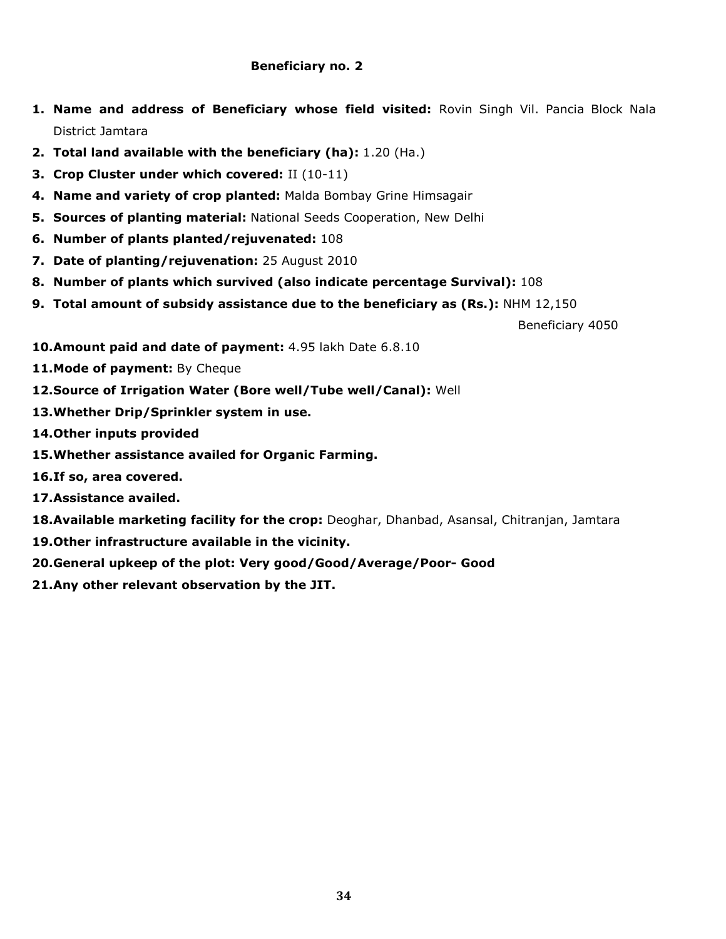## Beneficiary no. 2

- 1. Name and address of Beneficiary whose field visited: Rovin Singh Vil. Pancia Block Nala District Jamtara
- 2. Total land available with the beneficiary (ha): 1.20 (Ha.)
- 3. Crop Cluster under which covered: II (10-11)
- 4. Name and variety of crop planted: Malda Bombay Grine Himsagair
- **5. Sources of planting material: National Seeds Cooperation, New Delhi**
- 6. Number of plants planted/rejuvenated: 108
- 7. Date of planting/rejuvenation: 25 August 2010
- 8. Number of plants which survived (also indicate percentage Survival): 108
- 9. Total amount of subsidy assistance due to the beneficiary as (Rs.):  $NHM$  12,150

Beneficiary 4050

- 10. Amount paid and date of payment: 4.95 lakh Date 6.8.10
- 11. Mode of payment: By Cheque
- 12.Source of Irrigation Water (Bore well/Tube well/Canal): Well
- 13.Whether Drip/Sprinkler system in use.
- 14.Other inputs provided
- 15.Whether assistance availed for Organic Farming.
- 16.If so, area covered.
- 17.Assistance availed.
- 18. Available marketing facility for the crop: Deoghar, Dhanbad, Asansal, Chitranjan, Jamtara
- 19.Other infrastructure available in the vicinity.
- 20.General upkeep of the plot: Very good/Good/Average/Poor- Good
- 21.Any other relevant observation by the JIT.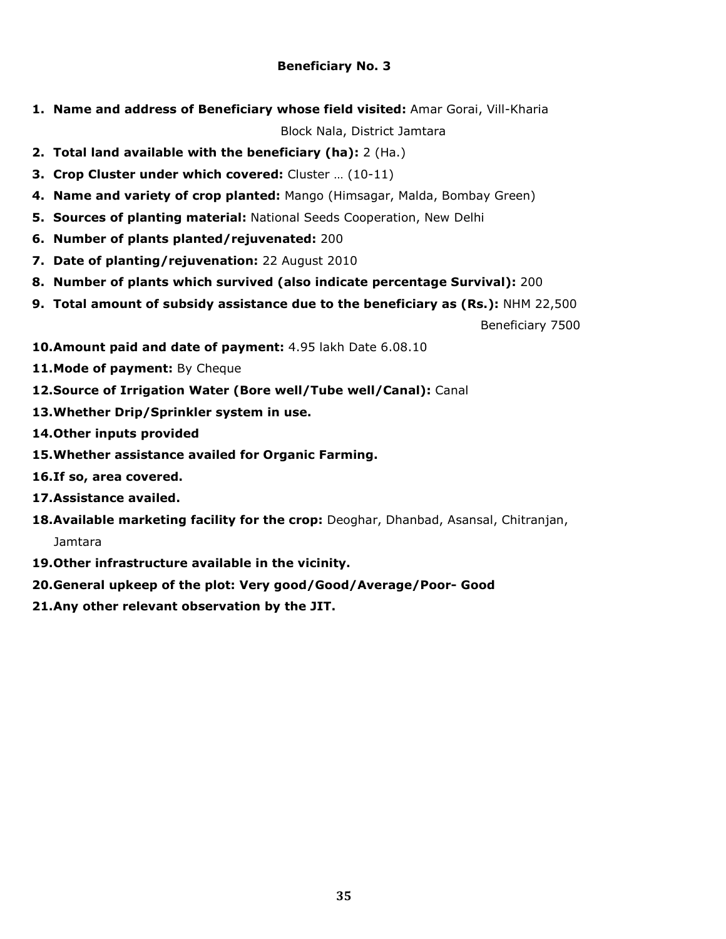# Beneficiary No. 3

1. Name and address of Beneficiary whose field visited: Amar Gorai, Vill-Kharia

Block Nala, District Jamtara

- 2. Total land available with the beneficiary (ha): 2 (Ha.)
- 3. Crop Cluster under which covered: Cluster … (10-11)
- 4. Name and variety of crop planted: Mango (Himsagar, Malda, Bombay Green)
- **5. Sources of planting material: National Seeds Cooperation, New Delhi**
- 6. Number of plants planted/rejuvenated: 200
- 7. Date of planting/rejuvenation: 22 August 2010
- 8. Number of plants which survived (also indicate percentage Survival): 200
- 9. Total amount of subsidy assistance due to the beneficiary as (Rs.): NHM 22,500

Beneficiary 7500

- 10. Amount paid and date of payment: 4.95 lakh Date 6.08.10
- 11. Mode of payment: By Cheque
- 12.Source of Irrigation Water (Bore well/Tube well/Canal): Canal
- 13.Whether Drip/Sprinkler system in use.
- 14.Other inputs provided
- 15.Whether assistance availed for Organic Farming.
- 16.If so, area covered.
- 17.Assistance availed.
- 18. Available marketing facility for the crop: Deoghar, Dhanbad, Asansal, Chitranjan,

Jamtara

- 19.Other infrastructure available in the vicinity.
- 20.General upkeep of the plot: Very good/Good/Average/Poor- Good
- 21.Any other relevant observation by the JIT.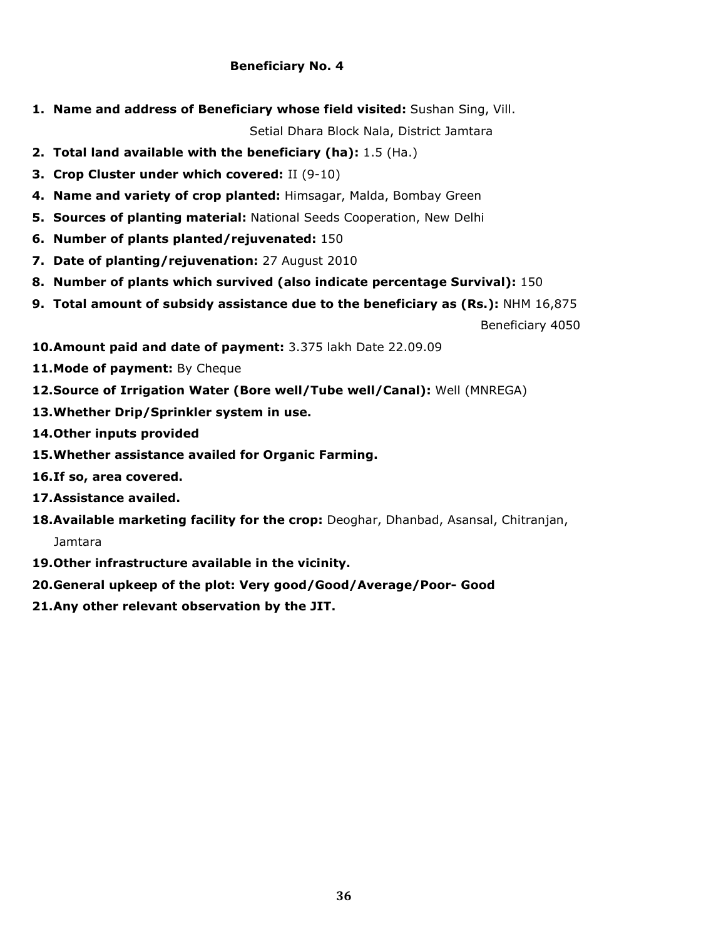## Beneficiary No. 4

1. Name and address of Beneficiary whose field visited: Sushan Sing, Vill.

Setial Dhara Block Nala, District Jamtara

- 2. Total land available with the beneficiary (ha): 1.5 (Ha.)
- 3. Crop Cluster under which covered: II (9-10)
- 4. Name and variety of crop planted: Himsagar, Malda, Bombay Green
- **5. Sources of planting material: National Seeds Cooperation, New Delhi**
- 6. Number of plants planted/rejuvenated: 150
- 7. Date of planting/rejuvenation: 27 August 2010
- 8. Number of plants which survived (also indicate percentage Survival): 150
- 9. Total amount of subsidy assistance due to the beneficiary as (Rs.): NHM 16,875

Beneficiary 4050

- 10.Amount paid and date of payment: 3.375 lakh Date 22.09.09
- 11. Mode of payment: By Cheque
- 12.Source of Irrigation Water (Bore well/Tube well/Canal): Well (MNREGA)
- 13.Whether Drip/Sprinkler system in use.
- 14.Other inputs provided
- 15.Whether assistance availed for Organic Farming.
- 16.If so, area covered.
- 17.Assistance availed.
- 18. Available marketing facility for the crop: Deoghar, Dhanbad, Asansal, Chitranjan,

Jamtara

- 19.Other infrastructure available in the vicinity.
- 20.General upkeep of the plot: Very good/Good/Average/Poor- Good
- 21.Any other relevant observation by the JIT.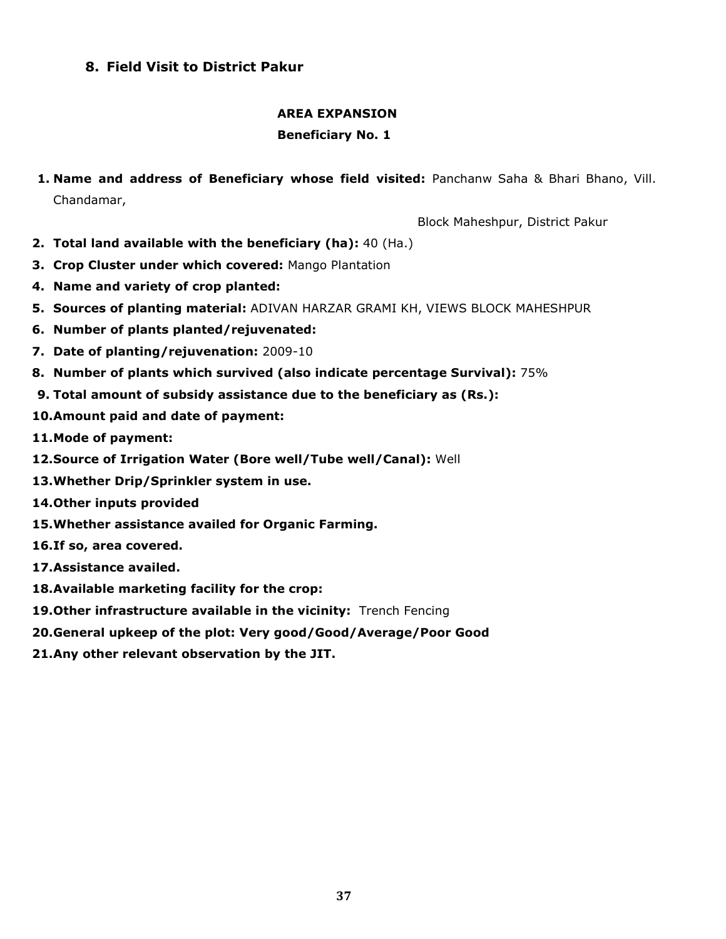# 8. Field Visit to District Pakur

## AREA EXPANSION

# Beneficiary No. 1

1. Name and address of Beneficiary whose field visited: Panchanw Saha & Bhari Bhano, Vill. Chandamar,

Block Maheshpur, District Pakur

- 2. Total land available with the beneficiary (ha): 40 (Ha.)
- 3. Crop Cluster under which covered: Mango Plantation
- 4. Name and variety of crop planted:
- 5. Sources of planting material: ADIVAN HARZAR GRAMI KH, VIEWS BLOCK MAHESHPUR
- 6. Number of plants planted/rejuvenated:
- 7. Date of planting/rejuvenation: 2009-10
- 8. Number of plants which survived (also indicate percentage Survival): 75%
- 9. Total amount of subsidy assistance due to the beneficiary as (Rs.):
- 10.Amount paid and date of payment:
- 11.Mode of payment:
- 12.Source of Irrigation Water (Bore well/Tube well/Canal): Well
- 13.Whether Drip/Sprinkler system in use.
- 14.Other inputs provided
- 15.Whether assistance availed for Organic Farming.
- 16.If so, area covered.
- 17.Assistance availed.
- 18.Available marketing facility for the crop:
- 19. Other infrastructure available in the vicinity: Trench Fencing
- 20.General upkeep of the plot: Very good/Good/Average/Poor Good
- 21.Any other relevant observation by the JIT.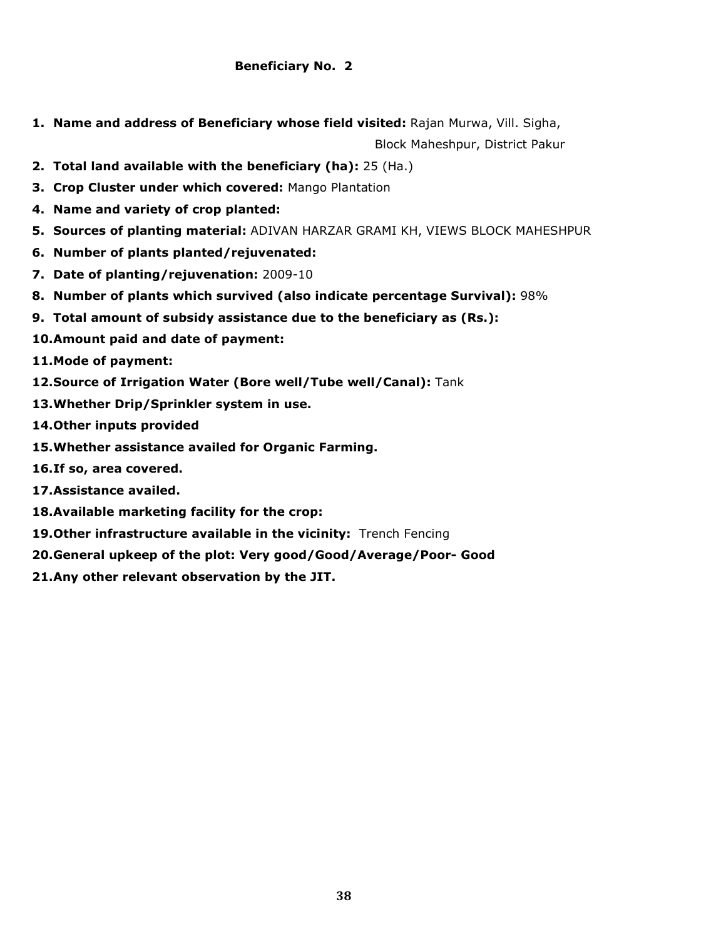## Beneficiary No. 2

1. Name and address of Beneficiary whose field visited: Rajan Murwa, Vill. Sigha,

Block Maheshpur, District Pakur

- 2. Total land available with the beneficiary (ha): 25 (Ha.)
- 3. Crop Cluster under which covered: Mango Plantation
- 4. Name and variety of crop planted:
- 5. Sources of planting material: ADIVAN HARZAR GRAMI KH, VIEWS BLOCK MAHESHPUR
- 6. Number of plants planted/rejuvenated:
- 7. Date of planting/rejuvenation: 2009-10
- 8. Number of plants which survived (also indicate percentage Survival): 98%
- 9. Total amount of subsidy assistance due to the beneficiary as (Rs.):
- 10.Amount paid and date of payment:
- 11.Mode of payment:
- 12. Source of Irrigation Water (Bore well/Tube well/Canal): Tank
- 13.Whether Drip/Sprinkler system in use.
- 14.Other inputs provided
- 15.Whether assistance availed for Organic Farming.
- 16.If so, area covered.
- 17.Assistance availed.
- 18.Available marketing facility for the crop:
- 19. Other infrastructure available in the vicinity: Trench Fencing
- 20.General upkeep of the plot: Very good/Good/Average/Poor- Good
- 21.Any other relevant observation by the JIT.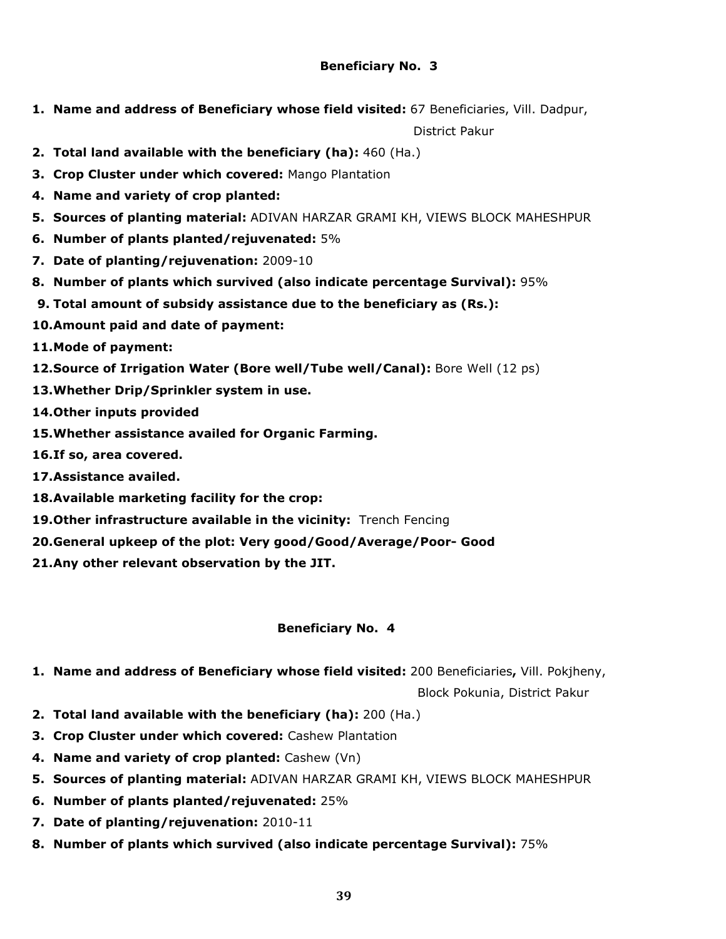# Beneficiary No. 3

1. Name and address of Beneficiary whose field visited: 67 Beneficiaries, Vill. Dadpur,

District Pakur

- 2. Total land available with the beneficiary (ha): 460 (Ha.)
- 3. Crop Cluster under which covered: Mango Plantation
- 4. Name and variety of crop planted:
- 5. Sources of planting material: ADIVAN HARZAR GRAMI KH, VIEWS BLOCK MAHESHPUR
- 6. Number of plants planted/rejuvenated: 5%
- 7. Date of planting/rejuvenation: 2009-10
- 8. Number of plants which survived (also indicate percentage Survival): 95%
- 9. Total amount of subsidy assistance due to the beneficiary as (Rs.):
- 10.Amount paid and date of payment:
- 11.Mode of payment:
- 12.Source of Irrigation Water (Bore well/Tube well/Canal): Bore Well (12 ps)
- 13.Whether Drip/Sprinkler system in use.
- 14.Other inputs provided
- 15.Whether assistance availed for Organic Farming.
- 16.If so, area covered.
- 17.Assistance availed.
- 18.Available marketing facility for the crop:
- 19. Other infrastructure available in the vicinity: Trench Fencing
- 20.General upkeep of the plot: Very good/Good/Average/Poor- Good
- 21.Any other relevant observation by the JIT.

## Beneficiary No. 4

1. Name and address of Beneficiary whose field visited: 200 Beneficiaries, Vill. Pokjheny,

Block Pokunia, District Pakur

- 2. Total land available with the beneficiary (ha): 200 (Ha.)
- 3. Crop Cluster under which covered: Cashew Plantation
- 4. Name and variety of crop planted: Cashew (Vn)
- 5. Sources of planting material: ADIVAN HARZAR GRAMI KH, VIEWS BLOCK MAHESHPUR
- 6. Number of plants planted/rejuvenated: 25%
- 7. Date of planting/rejuvenation: 2010-11
- 8. Number of plants which survived (also indicate percentage Survival): 75%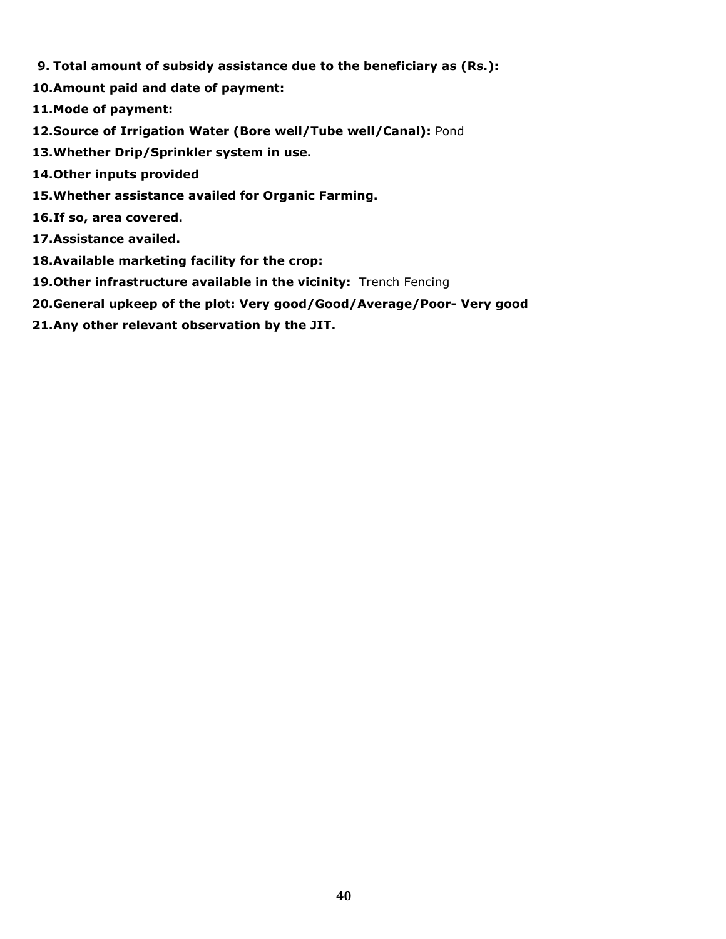- 9. Total amount of subsidy assistance due to the beneficiary as (Rs.):
- 10.Amount paid and date of payment:
- 11.Mode of payment:
- 12.Source of Irrigation Water (Bore well/Tube well/Canal): Pond
- 13.Whether Drip/Sprinkler system in use.
- 14.Other inputs provided
- 15.Whether assistance availed for Organic Farming.
- 16.If so, area covered.
- 17.Assistance availed.
- 18.Available marketing facility for the crop:
- 19. Other infrastructure available in the vicinity: Trench Fencing
- 20.General upkeep of the plot: Very good/Good/Average/Poor- Very good
- 21.Any other relevant observation by the JIT.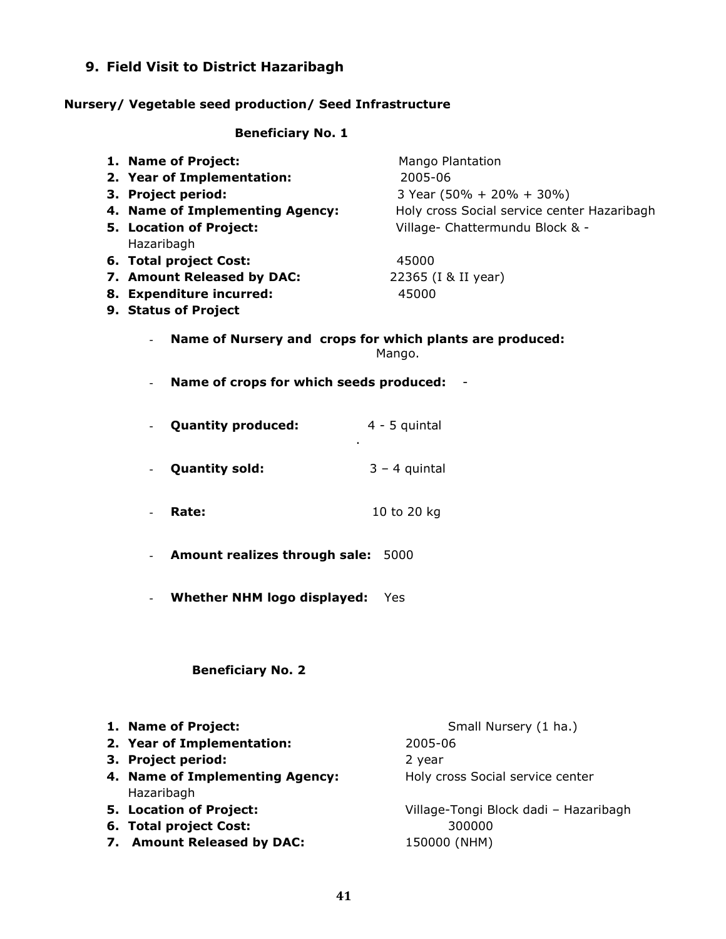# 9. Field Visit to District Hazaribagh

# Nursery/ Vegetable seed production/ Seed Infrastructure

# Beneficiary No. 1

| 1. Name of Project:                       | Mango Plantation                                         |  |  |
|-------------------------------------------|----------------------------------------------------------|--|--|
| 2. Year of Implementation:                | 2005-06                                                  |  |  |
| 3. Project period:                        | 3 Year (50% + 20% + 30%)                                 |  |  |
| 4. Name of Implementing Agency:           | Holy cross Social service center Hazaribagh              |  |  |
| 5. Location of Project:                   | Village- Chattermundu Block & -                          |  |  |
| Hazaribagh                                |                                                          |  |  |
| 6. Total project Cost:                    | 45000                                                    |  |  |
| 7. Amount Released by DAC:                | 22365 (I & II year)                                      |  |  |
| 8. Expenditure incurred:                  | 45000                                                    |  |  |
| 9. Status of Project                      |                                                          |  |  |
|                                           |                                                          |  |  |
|                                           | Name of Nursery and crops for which plants are produced: |  |  |
|                                           | Mango.                                                   |  |  |
| Name of crops for which seeds produced:   |                                                          |  |  |
|                                           |                                                          |  |  |
|                                           |                                                          |  |  |
| <b>Quantity produced:</b>                 | $4 - 5$ quintal                                          |  |  |
| $\blacksquare$                            |                                                          |  |  |
|                                           |                                                          |  |  |
| <b>Quantity sold:</b>                     | $3 - 4$ quintal                                          |  |  |
|                                           |                                                          |  |  |
| Rate:                                     | 10 to 20 kg                                              |  |  |
|                                           |                                                          |  |  |
|                                           |                                                          |  |  |
| Amount realizes through sale:             | 5000                                                     |  |  |
|                                           |                                                          |  |  |
| <b>Whether NHM logo displayed:</b><br>Yes |                                                          |  |  |
|                                           |                                                          |  |  |
|                                           |                                                          |  |  |
|                                           |                                                          |  |  |
| <b>Beneficiary No. 2</b>                  |                                                          |  |  |
|                                           |                                                          |  |  |
|                                           |                                                          |  |  |
|                                           |                                                          |  |  |
| 1. Name of Project:                       | Small Nursery (1 ha.)                                    |  |  |
| 2. Year of Implementation:                | 2005-06                                                  |  |  |
| 3. Project period:                        | 2 year                                                   |  |  |
| 4. Name of Implementing Agency:           | Holy cross Social service center                         |  |  |
| Hazaribagh                                |                                                          |  |  |
| 5. Location of Project:                   | Village-Tongi Block dadi - Hazaribagh                    |  |  |
| 6. Total project Cost:                    | 300000                                                   |  |  |
| 7. Amount Released by DAC:                | 150000 (NHM)                                             |  |  |
|                                           |                                                          |  |  |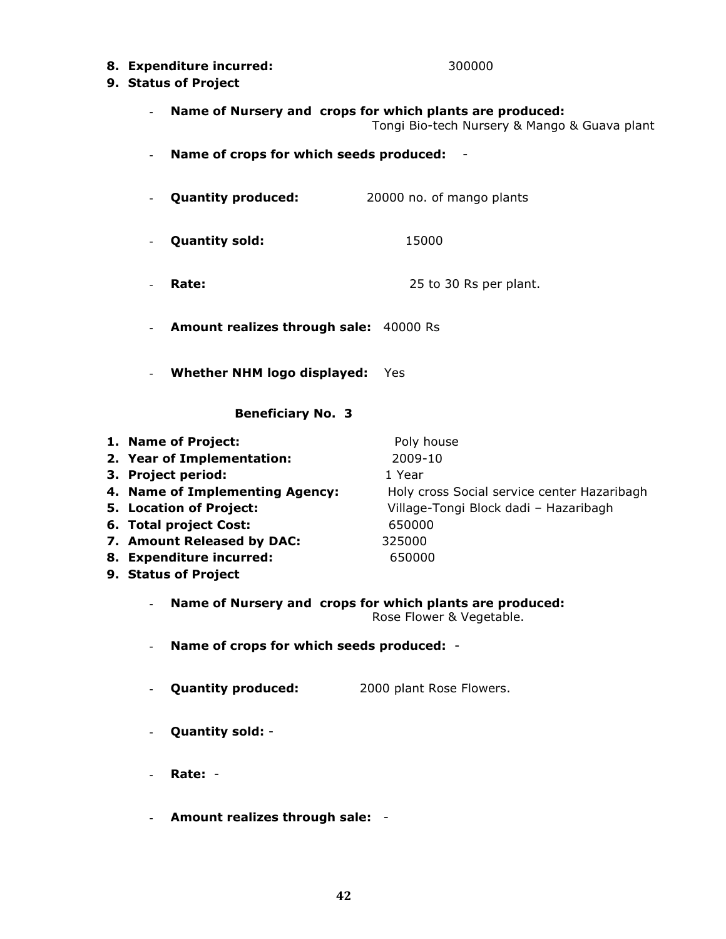8. Expenditure incurred: 300000

## 9. Status of Project

Name of Nursery and crops for which plants are produced:

Tongi Bio-tech Nursery & Mango & Guava plant

- Name of crops for which seeds produced: -
- Quantity produced: 20000 no. of mango plants
- Quantity sold: 15000
- **Rate:** 25 to 30 Rs per plant.
- Amount realizes through sale: 40000 Rs
- Whether NHM logo displayed: Yes

## Beneficiary No. 3

- 1. Name of Project: Poly house 2. Year of Implementation: 2009-10 **3. Project period:** 1 Year 4. Name of Implementing Agency: Holy cross Social service center Hazaribagh 5. Location of Project: Village-Tongi Block dadi – Hazaribagh 6. Total project Cost: 650000
- 7. Amount Released by DAC: 325000
- 8. Expenditure incurred: 650000
- 9. Status of Project

# - Name of Nursery and crops for which plants are produced:

Rose Flower & Vegetable.

- Name of crops for which seeds produced: -
- **Quantity produced:** 2000 plant Rose Flowers.
- Quantity sold: -
- Rate: -
- Amount realizes through sale: -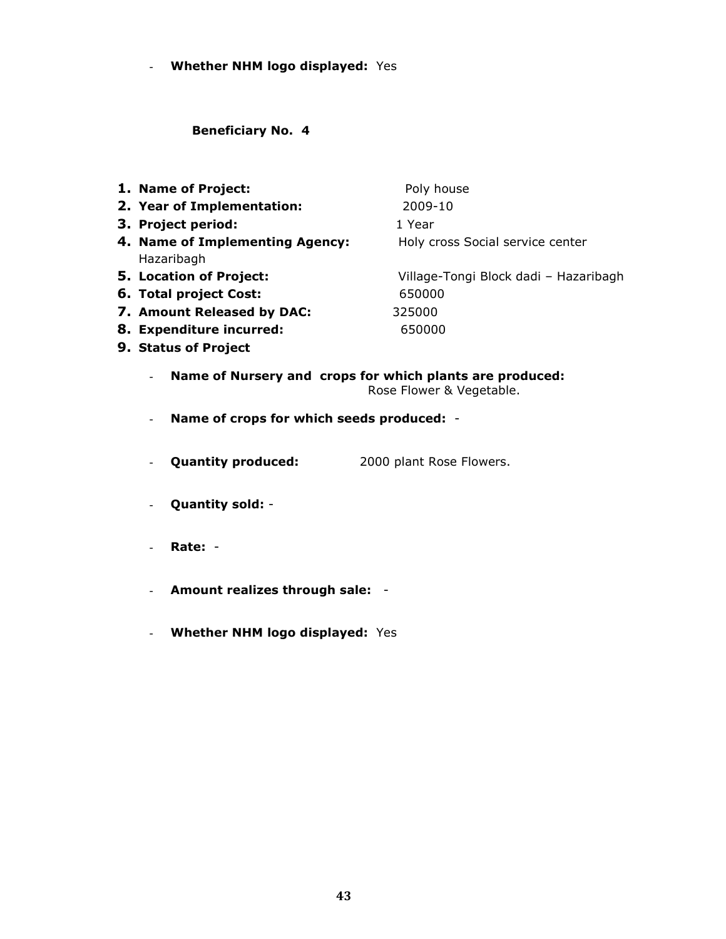- Whether NHM logo displayed: Yes

Beneficiary No. 4

| 1. Name of Project:                           | Poly house                            |
|-----------------------------------------------|---------------------------------------|
| 2. Year of Implementation:                    | 2009-10                               |
| 3. Project period:                            | 1 Year                                |
| 4. Name of Implementing Agency:<br>Hazaribagh | Holy cross Social service center      |
| 5. Location of Project:                       | Village-Tongi Block dadi - Hazaribagh |
| 6. Total project Cost:                        | 650000                                |
| 7. Amount Released by DAC:                    | 325000                                |
| 8. Expenditure incurred:                      | 650000                                |
| 9. Status of Project                          |                                       |
|                                               |                                       |

- Name of Nursery and crops for which plants are produced: Rose Flower & Vegetable.
- Name of crops for which seeds produced: -
- **Quantity produced:** 2000 plant Rose Flowers.
- Quantity sold: -
- Rate: -
- Amount realizes through sale: -
- Whether NHM logo displayed: Yes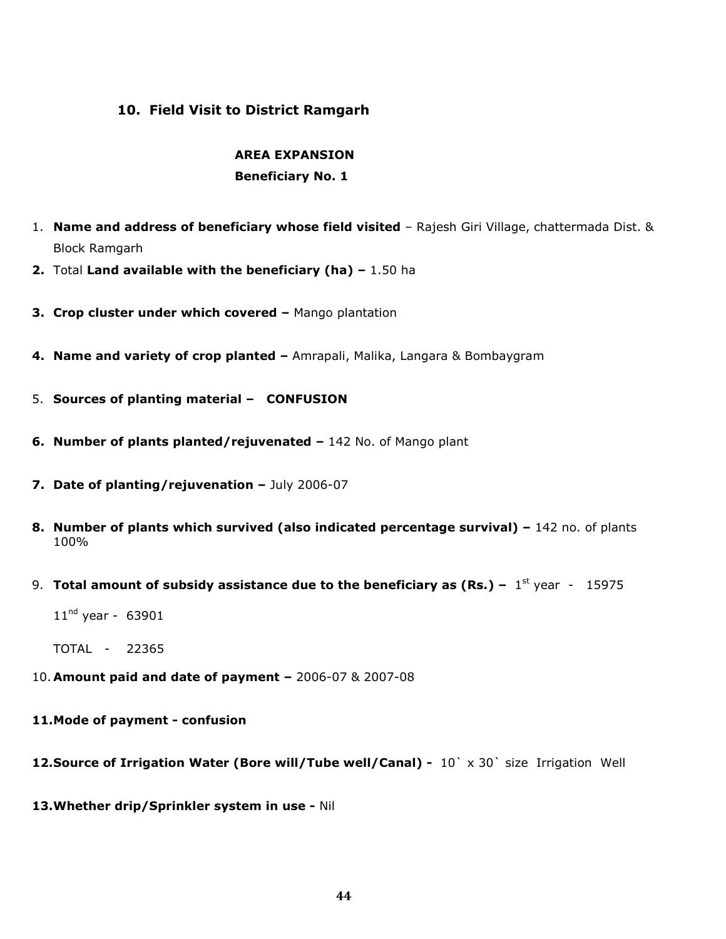# 10. Field Visit to District Ramgarh

# AREA EXPANSION

# Beneficiary No. 1

- 1. Name and address of beneficiary whose field visited Rajesh Giri Village, chattermada Dist. & Block Ramgarh
- 2. Total Land available with the beneficiary (ha)  $-1.50$  ha
- 3. Crop cluster under which covered Mango plantation
- 4. Name and variety of crop planted Amrapali, Malika, Langara & Bombaygram
- 5. Sources of planting material CONFUSION
- 6. Number of plants planted/rejuvenated 142 No. of Mango plant
- 7. Date of planting/rejuvenation July 2006-07
- 8. Number of plants which survived (also indicated percentage survival) 142 no. of plants 100%
- 9. Total amount of subsidy assistance due to the beneficiary as (Rs.)  $1^{st}$  year 15975

 $11^{nd}$  year - 63901

TOTAL - 22365

- 10. Amount paid and date of payment 2006-07 & 2007-08
- 11.Mode of payment confusion
- 12. Source of Irrigation Water (Bore will/Tube well/Canal) 10` x 30` size Irrigation Well
- 13.Whether drip/Sprinkler system in use Nil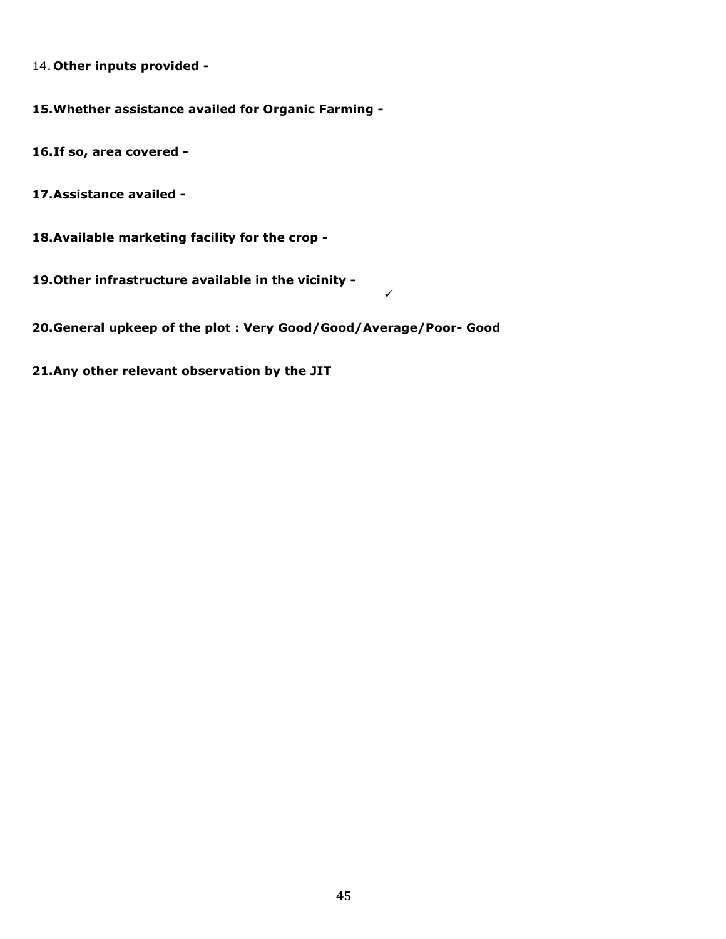14. Other inputs provided -

15.Whether assistance availed for Organic Farming -

16.If so, area covered -

17.Assistance availed -

18.Available marketing facility for the crop -

19.Other infrastructure available in the vicinity -

20.General upkeep of the plot : Very Good/Good/Average/Poor- Good

 $\overline{\mathscr{L}}$ 

21.Any other relevant observation by the JIT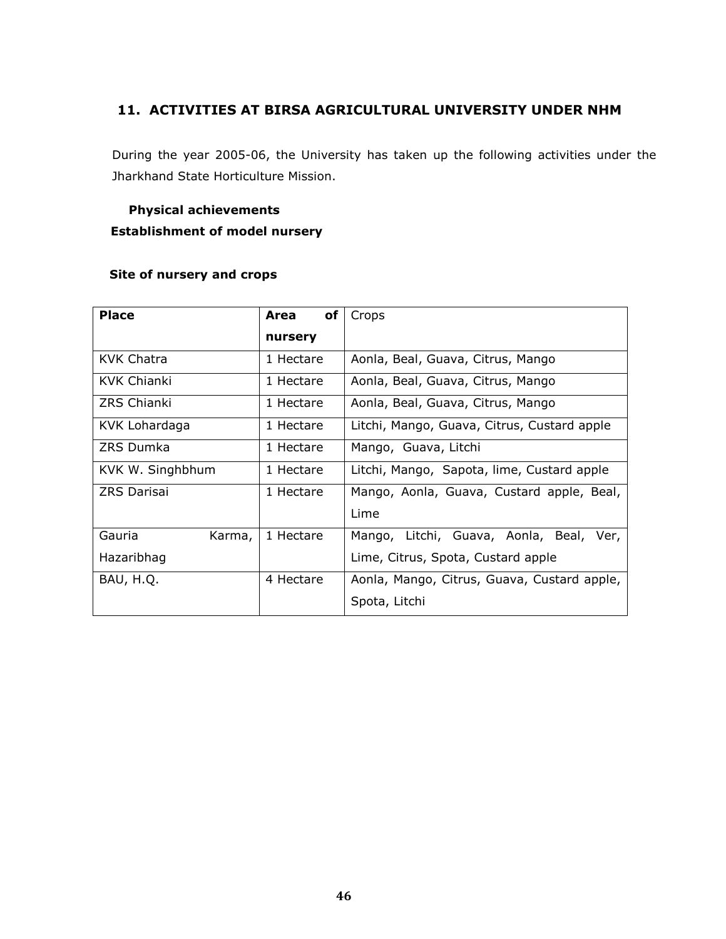# 11. ACTIVITIES AT BIRSA AGRICULTURAL UNIVERSITY UNDER NHM

During the year 2005-06, the University has taken up the following activities under the Jharkhand State Horticulture Mission.

# Physical achievements Establishment of model nursery

# Site of nursery and crops

| <b>Place</b>       |        | of<br>Area | Crops                                       |  |
|--------------------|--------|------------|---------------------------------------------|--|
|                    |        | nursery    |                                             |  |
| KVK Chatra         |        | 1 Hectare  | Aonla, Beal, Guava, Citrus, Mango           |  |
| KVK Chianki        |        | 1 Hectare  | Aonla, Beal, Guava, Citrus, Mango           |  |
| ZRS Chianki        |        | 1 Hectare  | Aonla, Beal, Guava, Citrus, Mango           |  |
| KVK Lohardaga      |        | 1 Hectare  | Litchi, Mango, Guava, Citrus, Custard apple |  |
| ZRS Dumka          |        | 1 Hectare  | Mango, Guava, Litchi                        |  |
| KVK W. Singhbhum   |        | 1 Hectare  | Litchi, Mango, Sapota, lime, Custard apple  |  |
| <b>ZRS Darisai</b> |        | 1 Hectare  | Mango, Aonla, Guava, Custard apple, Beal,   |  |
|                    |        |            | Lime                                        |  |
| Gauria             | Karma, | 1 Hectare  | Mango, Litchi, Guava, Aonla, Beal, Ver,     |  |
| Hazaribhag         |        |            | Lime, Citrus, Spota, Custard apple          |  |
| BAU, H.Q.          |        | 4 Hectare  | Aonla, Mango, Citrus, Guava, Custard apple, |  |
|                    |        |            | Spota, Litchi                               |  |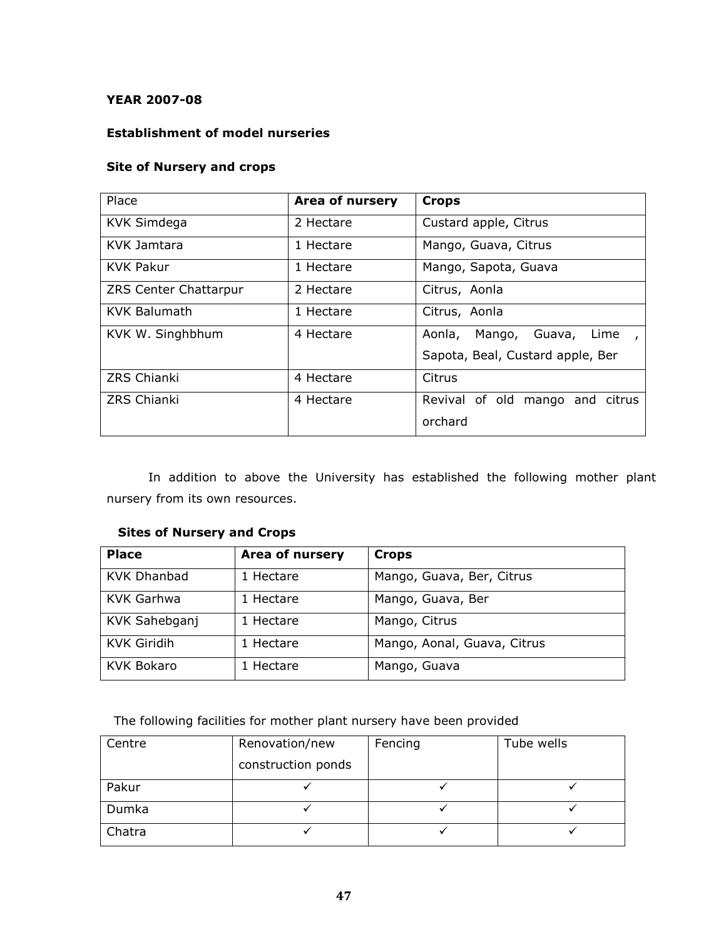# YEAR 2007-08

# Establishment of model nurseries

## Site of Nursery and crops

| Place                 | Area of nursery | <b>Crops</b>                                    |
|-----------------------|-----------------|-------------------------------------------------|
| <b>KVK Simdega</b>    | 2 Hectare       | Custard apple, Citrus                           |
| KVK Jamtara           | 1 Hectare       | Mango, Guava, Citrus                            |
| <b>KVK Pakur</b>      | 1 Hectare       | Mango, Sapota, Guava                            |
| ZRS Center Chattarpur | 2 Hectare       | Citrus, Aonla                                   |
| <b>KVK Balumath</b>   | 1 Hectare       | Citrus, Aonla                                   |
| KVK W. Singhbhum      | 4 Hectare       | Mango, Guava,<br>Aonla,<br>Lime<br>$\mathbf{r}$ |
|                       |                 | Sapota, Beal, Custard apple, Ber                |
| <b>ZRS Chianki</b>    | 4 Hectare       | Citrus                                          |
| <b>ZRS Chianki</b>    | 4 Hectare       | Revival of old mango and citrus                 |
|                       |                 | orchard                                         |

 In addition to above the University has established the following mother plant nursery from its own resources.

# Sites of Nursery and Crops

| <b>Place</b>       | Area of nursery | <b>Crops</b>                |
|--------------------|-----------------|-----------------------------|
| <b>KVK Dhanbad</b> | 1 Hectare       | Mango, Guava, Ber, Citrus   |
| <b>KVK Garhwa</b>  | 1 Hectare       | Mango, Guava, Ber           |
| KVK Sahebganj      | 1 Hectare       | Mango, Citrus               |
| <b>KVK Giridih</b> | 1 Hectare       | Mango, Aonal, Guava, Citrus |
| <b>KVK Bokaro</b>  | 1 Hectare       | Mango, Guava                |

# The following facilities for mother plant nursery have been provided

| Centre | Renovation/new     | Fencing | Tube wells |
|--------|--------------------|---------|------------|
|        | construction ponds |         |            |
| Pakur  |                    |         |            |
| Dumka  |                    |         |            |
| Chatra |                    |         |            |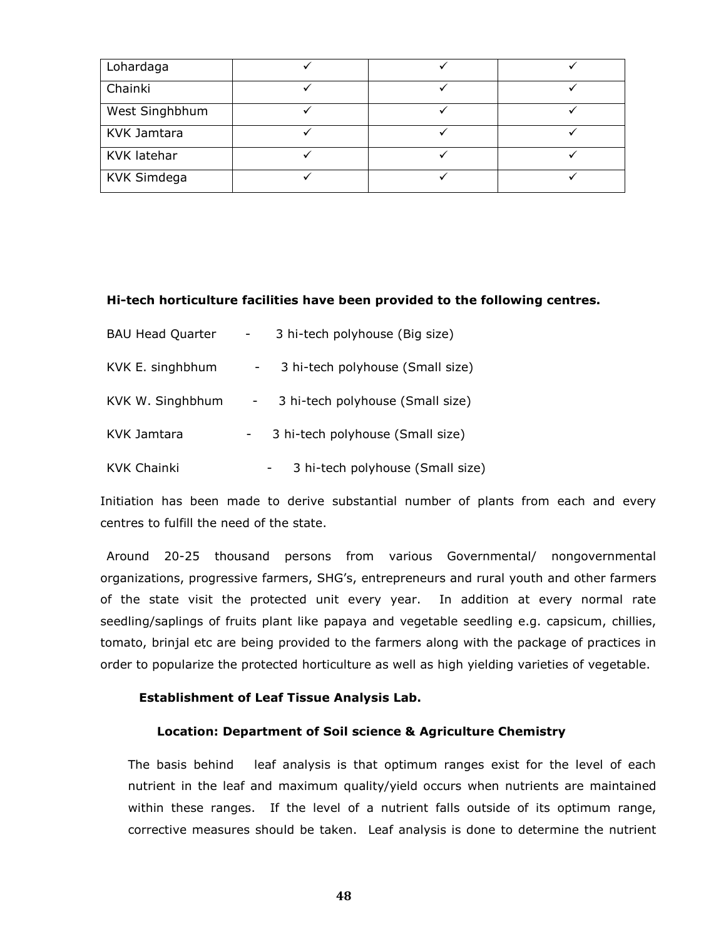| Lohardaga          |  |  |
|--------------------|--|--|
| Chainki            |  |  |
| West Singhbhum     |  |  |
| KVK Jamtara        |  |  |
| KVK latehar        |  |  |
| <b>KVK Simdega</b> |  |  |

#### Hi-tech horticulture facilities have been provided to the following centres.

| <b>BAU Head Quarter</b> | 3 hi-tech polyhouse (Big size)<br>$\sim$ |
|-------------------------|------------------------------------------|
| KVK E. singhbhum        | 3 hi-tech polyhouse (Small size)         |
| KVK W. Singhbhum        | 3 hi-tech polyhouse (Small size)         |
| KVK Jamtara             | 3 hi-tech polyhouse (Small size)         |
| <b>KVK Chainki</b>      | 3 hi-tech polyhouse (Small size)         |

Initiation has been made to derive substantial number of plants from each and every centres to fulfill the need of the state.

 Around 20-25 thousand persons from various Governmental/ nongovernmental organizations, progressive farmers, SHG's, entrepreneurs and rural youth and other farmers of the state visit the protected unit every year. In addition at every normal rate seedling/saplings of fruits plant like papaya and vegetable seedling e.g. capsicum, chillies, tomato, brinjal etc are being provided to the farmers along with the package of practices in order to popularize the protected horticulture as well as high yielding varieties of vegetable.

#### Establishment of Leaf Tissue Analysis Lab.

#### Location: Department of Soil science & Agriculture Chemistry

The basis behind leaf analysis is that optimum ranges exist for the level of each nutrient in the leaf and maximum quality/yield occurs when nutrients are maintained within these ranges. If the level of a nutrient falls outside of its optimum range, corrective measures should be taken. Leaf analysis is done to determine the nutrient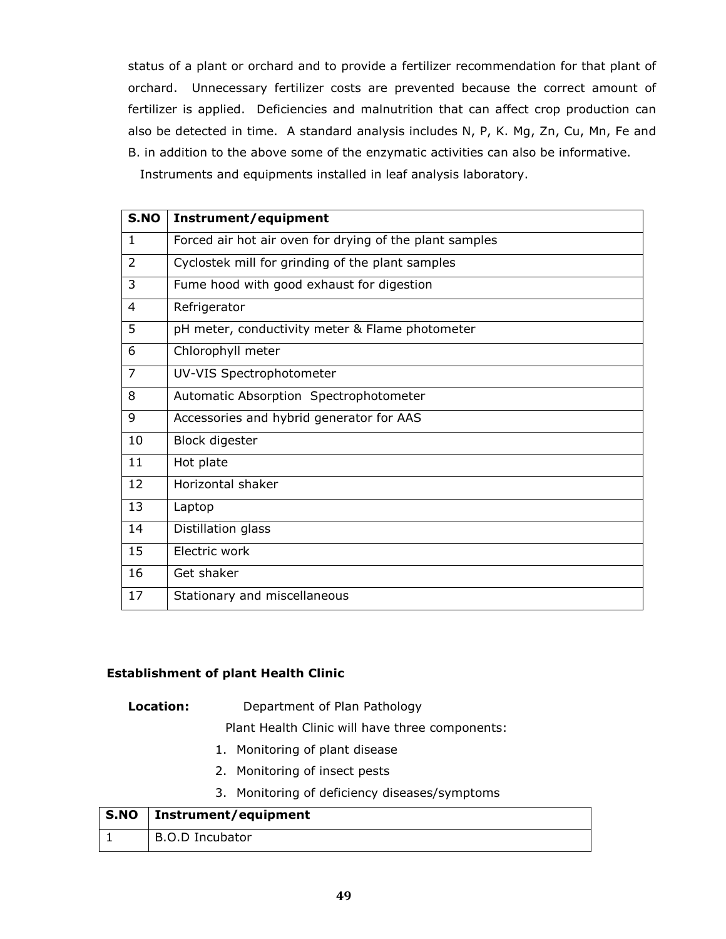status of a plant or orchard and to provide a fertilizer recommendation for that plant of orchard. Unnecessary fertilizer costs are prevented because the correct amount of fertilizer is applied. Deficiencies and malnutrition that can affect crop production can also be detected in time. A standard analysis includes N, P, K. Mg, Zn, Cu, Mn, Fe and B. in addition to the above some of the enzymatic activities can also be informative.

Instruments and equipments installed in leaf analysis laboratory.

| S.NO           | Instrument/equipment                                    |
|----------------|---------------------------------------------------------|
| $\mathbf{1}$   | Forced air hot air oven for drying of the plant samples |
| $\overline{2}$ | Cyclostek mill for grinding of the plant samples        |
| 3              | Fume hood with good exhaust for digestion               |
| 4              | Refrigerator                                            |
| 5              | pH meter, conductivity meter & Flame photometer         |
| 6              | Chlorophyll meter                                       |
| $\overline{7}$ | UV-VIS Spectrophotometer                                |
| 8              | Automatic Absorption Spectrophotometer                  |
| 9              | Accessories and hybrid generator for AAS                |
| 10             | <b>Block digester</b>                                   |
| 11             | Hot plate                                               |
| 12             | Horizontal shaker                                       |
| 13             | Laptop                                                  |
| 14             | Distillation glass                                      |
| 15             | Electric work                                           |
| 16             | Get shaker                                              |
| 17             | Stationary and miscellaneous                            |

## Establishment of plant Health Clinic

#### Location: Department of Plan Pathology

Plant Health Clinic will have three components:

- 1. Monitoring of plant disease
- 2. Monitoring of insect pests
- 3. Monitoring of deficiency diseases/symptoms

| S.NO | Instrument/equipment |
|------|----------------------|
|      | B.O.D Incubator      |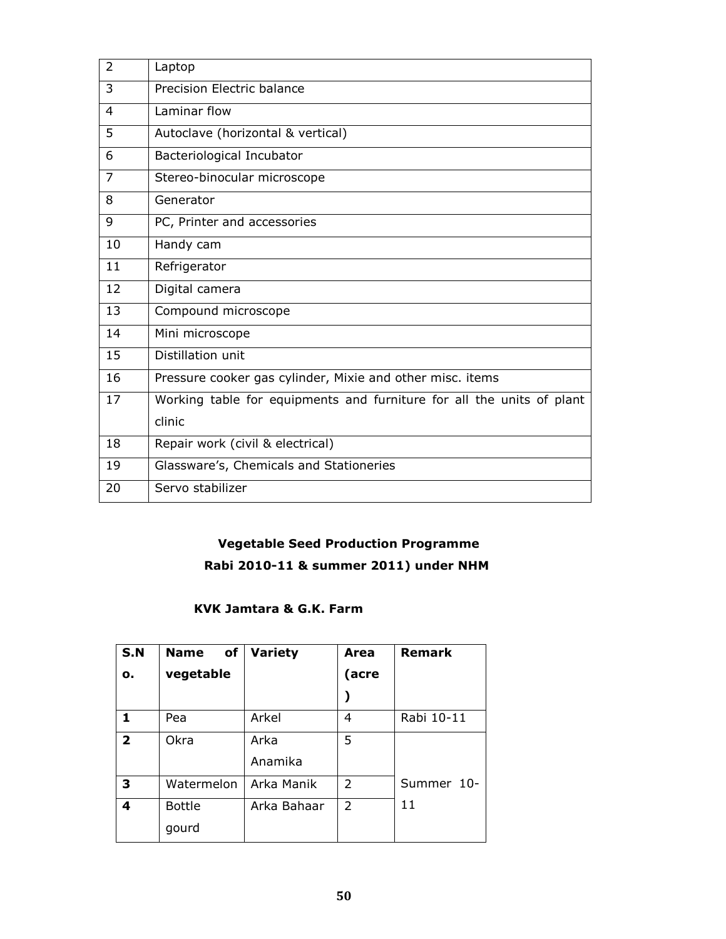| $\overline{2}$ | Laptop                                                                |
|----------------|-----------------------------------------------------------------------|
| 3              | Precision Electric balance                                            |
| 4              | Laminar flow                                                          |
| 5              | Autoclave (horizontal & vertical)                                     |
| 6              | Bacteriological Incubator                                             |
| $\overline{7}$ | Stereo-binocular microscope                                           |
| 8              | Generator                                                             |
| 9              | PC, Printer and accessories                                           |
| 10             | Handy cam                                                             |
| 11             | Refrigerator                                                          |
| 12             | Digital camera                                                        |
| 13             | Compound microscope                                                   |
| 14             | Mini microscope                                                       |
| 15             | Distillation unit                                                     |
| 16             | Pressure cooker gas cylinder, Mixie and other misc. items             |
| 17             | Working table for equipments and furniture for all the units of plant |
|                | clinic                                                                |
| 18             | Repair work (civil & electrical)                                      |
| 19             | Glassware's, Chemicals and Stationeries                               |
| 20             | Servo stabilizer                                                      |

# Vegetable Seed Production Programme

# Rabi 2010-11 & summer 2011) under NHM

# KVK Jamtara & G.K. Farm

| <b>S.N</b>     | <b>Name</b><br>of | <b>Variety</b> | Area           | <b>Remark</b> |
|----------------|-------------------|----------------|----------------|---------------|
| о.             | vegetable         |                | (acre          |               |
|                |                   |                |                |               |
| 1              | Pea               | Arkel          | 4              | Rabi 10-11    |
| $\overline{2}$ | Okra              | Arka           | 5              |               |
|                |                   | Anamika        |                |               |
| 3              | Watermelon        | Arka Manik     | $\overline{2}$ | Summer 10-    |
| 4              | <b>Bottle</b>     | Arka Bahaar    | $\overline{2}$ | 11            |
|                | gourd             |                |                |               |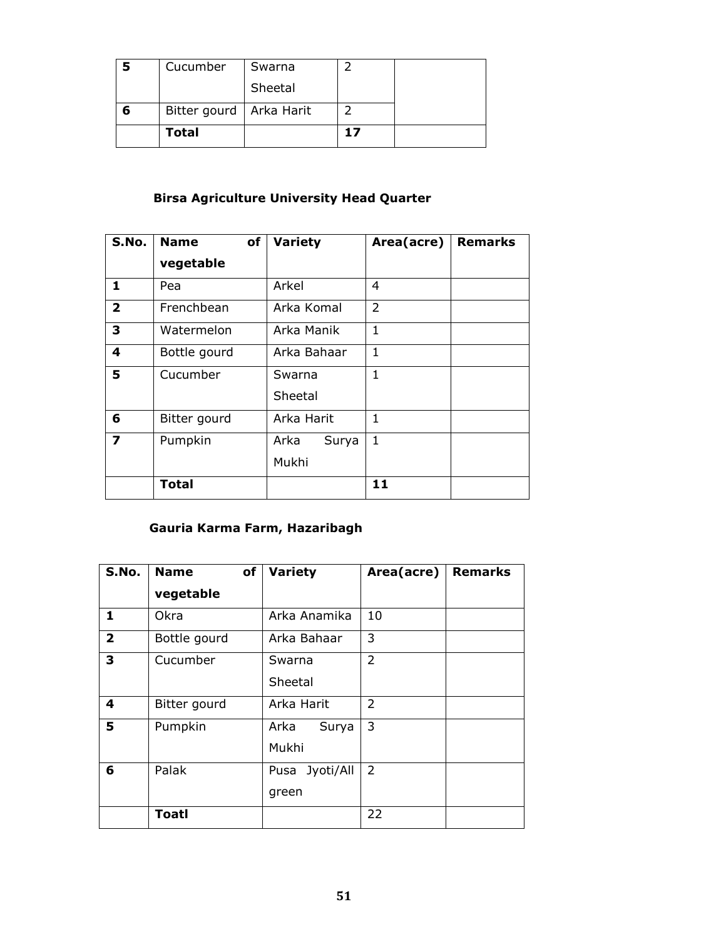| Cucumber                  | Swarna  |    |  |
|---------------------------|---------|----|--|
|                           | Sheetal |    |  |
| Bitter gourd   Arka Harit |         |    |  |
| <b>Total</b>              |         | 17 |  |

# Birsa Agriculture University Head Quarter

| S.No.        | <b>Name</b><br>of | Variety       | Area(acre)   | <b>Remarks</b> |
|--------------|-------------------|---------------|--------------|----------------|
|              | vegetable         |               |              |                |
| 1            | Pea               | Arkel         | 4            |                |
| $\mathbf{2}$ | Frenchbean        | Arka Komal    | 2            |                |
| 3            | Watermelon        | Arka Manik    | $\mathbf{1}$ |                |
| 4            | Bottle gourd      | Arka Bahaar   | $\mathbf{1}$ |                |
| 5            | Cucumber          | Swarna        | $\mathbf{1}$ |                |
|              |                   | Sheetal       |              |                |
| 6            | Bitter gourd      | Arka Harit    | 1            |                |
| 7            | Pumpkin           | Arka<br>Surya | 1            |                |
|              |                   | Mukhi         |              |                |
|              | <b>Total</b>      |               | 11           |                |

# Gauria Karma Farm, Hazaribagh

| S.No.          | of<br><b>Name</b> | <b>Variety</b>          | Area(acre)     | <b>Remarks</b> |
|----------------|-------------------|-------------------------|----------------|----------------|
|                | vegetable         |                         |                |                |
| 1              | Okra              | Arka Anamika            | 10             |                |
| $\overline{2}$ | Bottle gourd      | Arka Bahaar             | 3              |                |
| 3              | Cucumber          | Swarna<br>Sheetal       | $\overline{2}$ |                |
| 4              | Bitter gourd      | Arka Harit              | $\overline{2}$ |                |
| 5              | Pumpkin           | Arka<br>Surya<br>Mukhi  | 3              |                |
| 6              | Palak             | Pusa Jyoti/All<br>green | $\overline{2}$ |                |
|                | <b>Toatl</b>      |                         | 22             |                |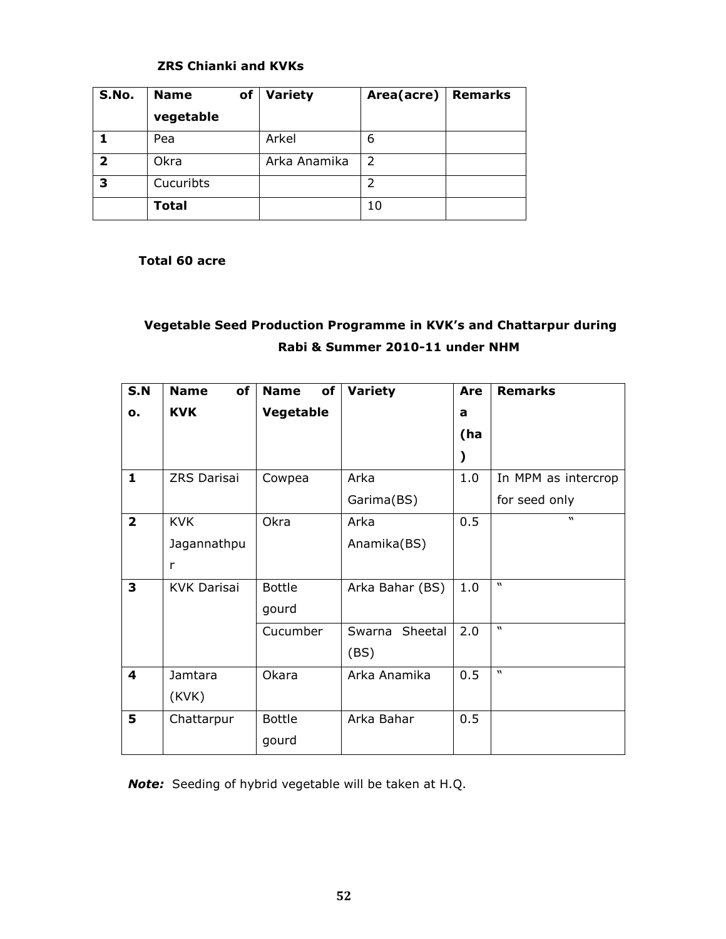# ZRS Chianki and KVKs

| S.No. | <b>Name</b><br>of | Variety      | Area(acre) | <b>Remarks</b> |
|-------|-------------------|--------------|------------|----------------|
|       | vegetable         |              |            |                |
|       | Pea               | Arkel        | 6          |                |
| 2     | Okra              | Arka Anamika | 2          |                |
| 3     | Cucuribts         |              | 2          |                |
|       | <b>Total</b>      |              | 10         |                |

## Total 60 acre

# Vegetable Seed Production Programme in KVK's and Chattarpur during Rabi & Summer 2010-11 under NHM

| S.N            | of<br><b>Name</b>  | <b>Name</b><br>of | Variety         | <b>Are</b> | <b>Remarks</b>      |
|----------------|--------------------|-------------------|-----------------|------------|---------------------|
| о.             | <b>KVK</b>         | Vegetable         |                 | a          |                     |
|                |                    |                   |                 | (ha        |                     |
|                |                    |                   |                 |            |                     |
| $\mathbf{1}$   | ZRS Darisai        | Cowpea            | Arka            | 1.0        | In MPM as intercrop |
|                |                    |                   | Garima(BS)      |            | for seed only       |
| $\overline{2}$ | <b>KVK</b>         | Okra              | Arka            | 0.5        | $\boldsymbol{v}$    |
|                | Jagannathpu        |                   | Anamika(BS)     |            |                     |
|                | r                  |                   |                 |            |                     |
| 3              | <b>KVK Darisai</b> | <b>Bottle</b>     | Arka Bahar (BS) | 1.0        | $\mathbf{v}$        |
|                |                    | gourd             |                 |            |                     |
|                |                    | Cucumber          | Swarna Sheetal  | 2.0        | $\overline{u}$      |
|                |                    |                   | (BS)            |            |                     |
| 4              | Jamtara            | Okara             | Arka Anamika    | 0.5        | $\mathbf{v}$        |
|                | (KVK)              |                   |                 |            |                     |
| 5              | Chattarpur         | <b>Bottle</b>     | Arka Bahar      | 0.5        |                     |
|                |                    | gourd             |                 |            |                     |

Note: Seeding of hybrid vegetable will be taken at H.Q.